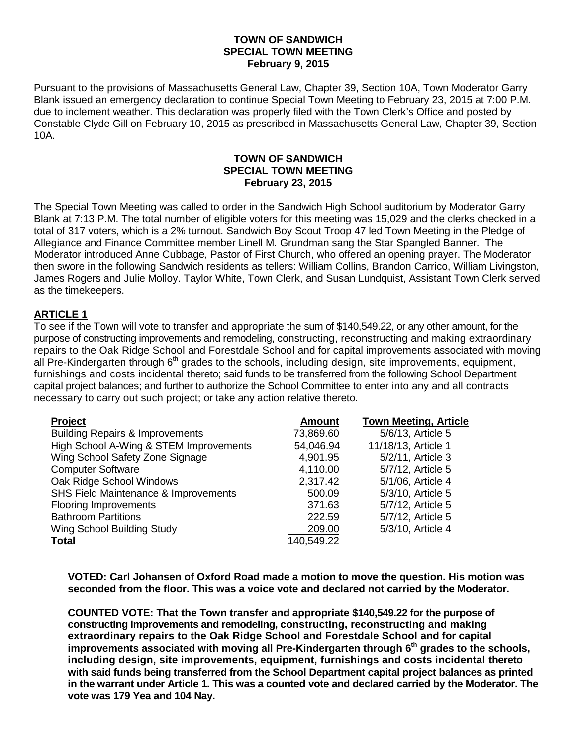## **TOWN OF SANDWICH SPECIAL TOWN MEETING February 9, 2015**

Pursuant to the provisions of Massachusetts General Law, Chapter 39, Section 10A, Town Moderator Garry Blank issued an emergency declaration to continue Special Town Meeting to February 23, 2015 at 7:00 P.M. due to inclement weather. This declaration was properly filed with the Town Clerk's Office and posted by Constable Clyde Gill on February 10, 2015 as prescribed in Massachusetts General Law, Chapter 39, Section 10A.

## **TOWN OF SANDWICH SPECIAL TOWN MEETING February 23, 2015**

The Special Town Meeting was called to order in the Sandwich High School auditorium by Moderator Garry Blank at 7:13 P.M. The total number of eligible voters for this meeting was 15,029 and the clerks checked in a total of 317 voters, which is a 2% turnout. Sandwich Boy Scout Troop 47 led Town Meeting in the Pledge of Allegiance and Finance Committee member Linell M. Grundman sang the Star Spangled Banner. The Moderator introduced Anne Cubbage, Pastor of First Church, who offered an opening prayer. The Moderator then swore in the following Sandwich residents as tellers: William Collins, Brandon Carrico, William Livingston, James Rogers and Julie Molloy. Taylor White, Town Clerk, and Susan Lundquist, Assistant Town Clerk served as the timekeepers.

# **ARTICLE 1**

To see if the Town will vote to transfer and appropriate the sum of \$140,549.22, or any other amount, for the purpose of constructing improvements and remodeling, constructing, reconstructing and making extraordinary repairs to the Oak Ridge School and Forestdale School and for capital improvements associated with moving all Pre-Kindergarten through  $6<sup>th</sup>$  grades to the schools, including design, site improvements, equipment, furnishings and costs incidental thereto; said funds to be transferred from the following School Department capital project balances; and further to authorize the School Committee to enter into any and all contracts necessary to carry out such project; or take any action relative thereto.

| Project                                    | <b>Amount</b> | <b>Town Meeting, Article</b> |
|--------------------------------------------|---------------|------------------------------|
| <b>Building Repairs &amp; Improvements</b> | 73,869.60     | 5/6/13, Article 5            |
| High School A-Wing & STEM Improvements     | 54,046.94     | 11/18/13, Article 1          |
| Wing School Safety Zone Signage            | 4,901.95      | 5/2/11, Article 3            |
| <b>Computer Software</b>                   | 4,110.00      | 5/7/12, Article 5            |
| Oak Ridge School Windows                   | 2,317.42      | 5/1/06, Article 4            |
| SHS Field Maintenance & Improvements       | 500.09        | 5/3/10, Article 5            |
| <b>Flooring Improvements</b>               | 371.63        | 5/7/12, Article 5            |
| <b>Bathroom Partitions</b>                 | 222.59        | 5/7/12, Article 5            |
| Wing School Building Study                 | 209.00        | 5/3/10, Article 4            |
| <b>Total</b>                               | 140,549.22    |                              |

**VOTED: Carl Johansen of Oxford Road made a motion to move the question. His motion was seconded from the floor. This was a voice vote and declared not carried by the Moderator.**

**COUNTED VOTE: That the Town transfer and appropriate \$140,549.22 for the purpose of constructing improvements and remodeling, constructing, reconstructing and making extraordinary repairs to the Oak Ridge School and Forestdale School and for capital**  improvements associated with moving all Pre-Kindergarten through 6<sup>th</sup> grades to the schools, **including design, site improvements, equipment, furnishings and costs incidental thereto with said funds being transferred from the School Department capital project balances as printed in the warrant under Article 1. This was a counted vote and declared carried by the Moderator. The vote was 179 Yea and 104 Nay.**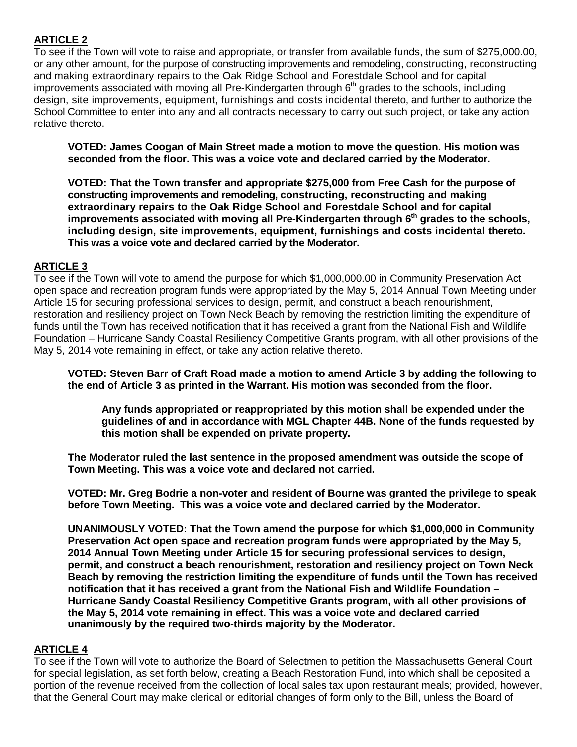# **ARTICLE 2**

To see if the Town will vote to raise and appropriate, or transfer from available funds, the sum of \$275,000.00, or any other amount, for the purpose of constructing improvements and remodeling, constructing, reconstructing and making extraordinary repairs to the Oak Ridge School and Forestdale School and for capital improvements associated with moving all Pre-Kindergarten through  $6<sup>th</sup>$  grades to the schools, including design, site improvements, equipment, furnishings and costs incidental thereto, and further to authorize the School Committee to enter into any and all contracts necessary to carry out such project, or take any action relative thereto.

**VOTED: James Coogan of Main Street made a motion to move the question. His motion was seconded from the floor. This was a voice vote and declared carried by the Moderator.**

**VOTED: That the Town transfer and appropriate \$275,000 from Free Cash for the purpose of constructing improvements and remodeling, constructing, reconstructing and making extraordinary repairs to the Oak Ridge School and Forestdale School and for capital improvements associated with moving all Pre-Kindergarten through 6th grades to the schools, including design, site improvements, equipment, furnishings and costs incidental thereto. This was a voice vote and declared carried by the Moderator.**

# **ARTICLE 3**

To see if the Town will vote to amend the purpose for which \$1,000,000.00 in Community Preservation Act open space and recreation program funds were appropriated by the May 5, 2014 Annual Town Meeting under Article 15 for securing professional services to design, permit, and construct a beach renourishment, restoration and resiliency project on Town Neck Beach by removing the restriction limiting the expenditure of funds until the Town has received notification that it has received a grant from the National Fish and Wildlife Foundation – Hurricane Sandy Coastal Resiliency Competitive Grants program, with all other provisions of the May 5, 2014 vote remaining in effect, or take any action relative thereto.

**VOTED: Steven Barr of Craft Road made a motion to amend Article 3 by adding the following to the end of Article 3 as printed in the Warrant. His motion was seconded from the floor.**

**Any funds appropriated or reappropriated by this motion shall be expended under the guidelines of and in accordance with MGL Chapter 44B. None of the funds requested by this motion shall be expended on private property.**

**The Moderator ruled the last sentence in the proposed amendment was outside the scope of Town Meeting. This was a voice vote and declared not carried.**

**VOTED: Mr. Greg Bodrie a non-voter and resident of Bourne was granted the privilege to speak before Town Meeting. This was a voice vote and declared carried by the Moderator.** 

**UNANIMOUSLY VOTED: That the Town amend the purpose for which \$1,000,000 in Community Preservation Act open space and recreation program funds were appropriated by the May 5, 2014 Annual Town Meeting under Article 15 for securing professional services to design, permit, and construct a beach renourishment, restoration and resiliency project on Town Neck Beach by removing the restriction limiting the expenditure of funds until the Town has received notification that it has received a grant from the National Fish and Wildlife Foundation – Hurricane Sandy Coastal Resiliency Competitive Grants program, with all other provisions of the May 5, 2014 vote remaining in effect. This was a voice vote and declared carried unanimously by the required two-thirds majority by the Moderator.**

# **ARTICLE 4**

To see if the Town will vote to authorize the Board of Selectmen to petition the Massachusetts General Court for special legislation, as set forth below, creating a Beach Restoration Fund, into which shall be deposited a portion of the revenue received from the collection of local sales tax upon restaurant meals; provided, however, that the General Court may make clerical or editorial changes of form only to the Bill, unless the Board of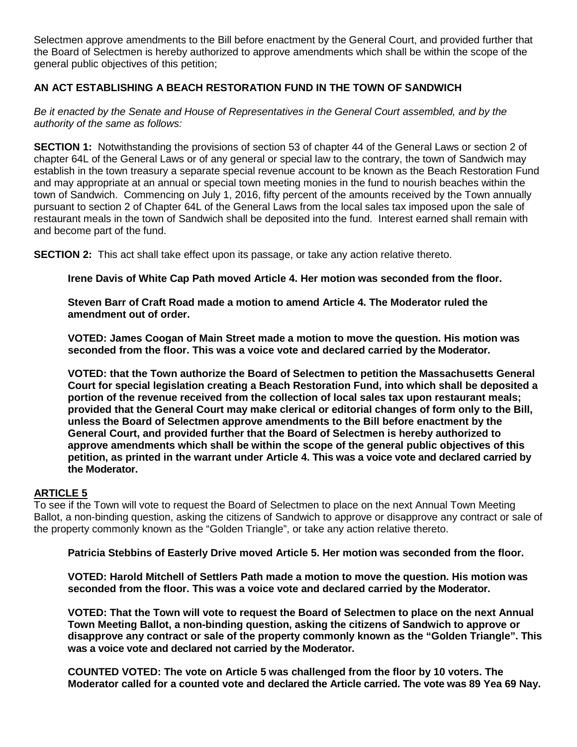Selectmen approve amendments to the Bill before enactment by the General Court, and provided further that the Board of Selectmen is hereby authorized to approve amendments which shall be within the scope of the general public objectives of this petition;

# **AN ACT ESTABLISHING A BEACH RESTORATION FUND IN THE TOWN OF SANDWICH**

*Be it enacted by the Senate and House of Representatives in the General Court assembled, and by the authority of the same as follows:*

**SECTION 1:** Notwithstanding the provisions of section 53 of chapter 44 of the General Laws or section 2 of chapter 64L of the General Laws or of any general or special law to the contrary, the town of Sandwich may establish in the town treasury a separate special revenue account to be known as the Beach Restoration Fund and may appropriate at an annual or special town meeting monies in the fund to nourish beaches within the town of Sandwich. Commencing on July 1, 2016, fifty percent of the amounts received by the Town annually pursuant to section 2 of Chapter 64L of the General Laws from the local sales tax imposed upon the sale of restaurant meals in the town of Sandwich shall be deposited into the fund. Interest earned shall remain with and become part of the fund.

**SECTION 2:** This act shall take effect upon its passage, or take any action relative thereto.

**Irene Davis of White Cap Path moved Article 4. Her motion was seconded from the floor.**

**Steven Barr of Craft Road made a motion to amend Article 4. The Moderator ruled the amendment out of order.**

**VOTED: James Coogan of Main Street made a motion to move the question. His motion was seconded from the floor. This was a voice vote and declared carried by the Moderator.**

**VOTED: that the Town authorize the Board of Selectmen to petition the Massachusetts General Court for special legislation creating a Beach Restoration Fund, into which shall be deposited a portion of the revenue received from the collection of local sales tax upon restaurant meals; provided that the General Court may make clerical or editorial changes of form only to the Bill, unless the Board of Selectmen approve amendments to the Bill before enactment by the General Court, and provided further that the Board of Selectmen is hereby authorized to approve amendments which shall be within the scope of the general public objectives of this petition, as printed in the warrant under Article 4. This was a voice vote and declared carried by the Moderator.**

# **ARTICLE 5**

To see if the Town will vote to request the Board of Selectmen to place on the next Annual Town Meeting Ballot, a non-binding question, asking the citizens of Sandwich to approve or disapprove any contract or sale of the property commonly known as the "Golden Triangle", or take any action relative thereto.

**Patricia Stebbins of Easterly Drive moved Article 5. Her motion was seconded from the floor.**

**VOTED: Harold Mitchell of Settlers Path made a motion to move the question. His motion was seconded from the floor. This was a voice vote and declared carried by the Moderator.**

**VOTED: That the Town will vote to request the Board of Selectmen to place on the next Annual Town Meeting Ballot, a non-binding question, asking the citizens of Sandwich to approve or disapprove any contract or sale of the property commonly known as the "Golden Triangle". This was a voice vote and declared not carried by the Moderator.**

**COUNTED VOTED: The vote on Article 5 was challenged from the floor by 10 voters. The Moderator called for a counted vote and declared the Article carried. The vote was 89 Yea 69 Nay.**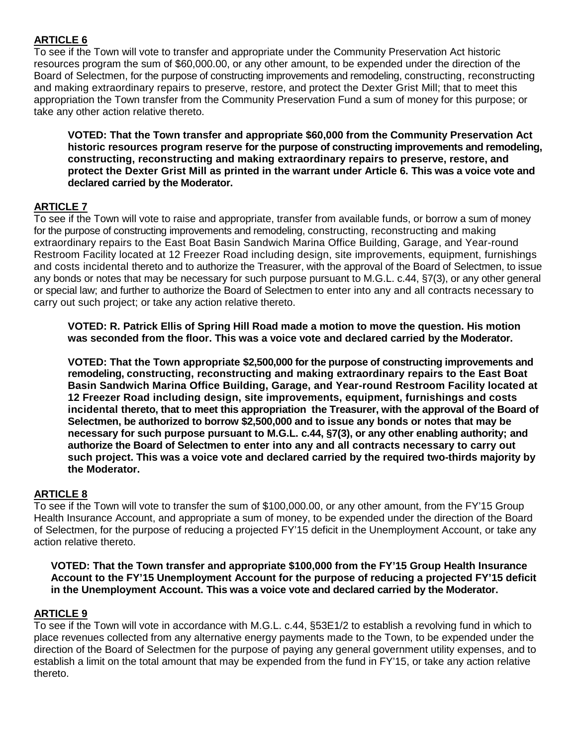# **ARTICLE 6**

To see if the Town will vote to transfer and appropriate under the Community Preservation Act historic resources program the sum of \$60,000.00, or any other amount, to be expended under the direction of the Board of Selectmen, for the purpose of constructing improvements and remodeling, constructing, reconstructing and making extraordinary repairs to preserve, restore, and protect the Dexter Grist Mill; that to meet this appropriation the Town transfer from the Community Preservation Fund a sum of money for this purpose; or take any other action relative thereto.

**VOTED: That the Town transfer and appropriate \$60,000 from the Community Preservation Act historic resources program reserve for the purpose of constructing improvements and remodeling, constructing, reconstructing and making extraordinary repairs to preserve, restore, and protect the Dexter Grist Mill as printed in the warrant under Article 6. This was a voice vote and declared carried by the Moderator.**

# **ARTICLE 7**

To see if the Town will vote to raise and appropriate, transfer from available funds, or borrow a sum of money for the purpose of constructing improvements and remodeling, constructing, reconstructing and making extraordinary repairs to the East Boat Basin Sandwich Marina Office Building, Garage, and Year-round Restroom Facility located at 12 Freezer Road including design, site improvements, equipment, furnishings and costs incidental thereto and to authorize the Treasurer, with the approval of the Board of Selectmen, to issue any bonds or notes that may be necessary for such purpose pursuant to M.G.L. c.44, §7(3), or any other general or special law; and further to authorize the Board of Selectmen to enter into any and all contracts necessary to carry out such project; or take any action relative thereto.

**VOTED: R. Patrick Ellis of Spring Hill Road made a motion to move the question. His motion was seconded from the floor. This was a voice vote and declared carried by the Moderator.**

**VOTED: That the Town appropriate \$2,500,000 for the purpose of constructing improvements and remodeling, constructing, reconstructing and making extraordinary repairs to the East Boat Basin Sandwich Marina Office Building, Garage, and Year-round Restroom Facility located at 12 Freezer Road including design, site improvements, equipment, furnishings and costs incidental thereto, that to meet this appropriation the Treasurer, with the approval of the Board of Selectmen, be authorized to borrow \$2,500,000 and to issue any bonds or notes that may be necessary for such purpose pursuant to M.G.L. c.44, §7(3), or any other enabling authority; and authorize the Board of Selectmen to enter into any and all contracts necessary to carry out such project. This was a voice vote and declared carried by the required two-thirds majority by the Moderator.**

# **ARTICLE 8**

To see if the Town will vote to transfer the sum of \$100,000.00, or any other amount, from the FY'15 Group Health Insurance Account, and appropriate a sum of money, to be expended under the direction of the Board of Selectmen, for the purpose of reducing a projected FY'15 deficit in the Unemployment Account, or take any action relative thereto.

# **VOTED: That the Town transfer and appropriate \$100,000 from the FY'15 Group Health Insurance Account to the FY'15 Unemployment Account for the purpose of reducing a projected FY'15 deficit in the Unemployment Account. This was a voice vote and declared carried by the Moderator.**

# **ARTICLE 9**

To see if the Town will vote in accordance with M.G.L. c.44, §53E1/2 to establish a revolving fund in which to place revenues collected from any alternative energy payments made to the Town, to be expended under the direction of the Board of Selectmen for the purpose of paying any general government utility expenses, and to establish a limit on the total amount that may be expended from the fund in FY'15, or take any action relative thereto.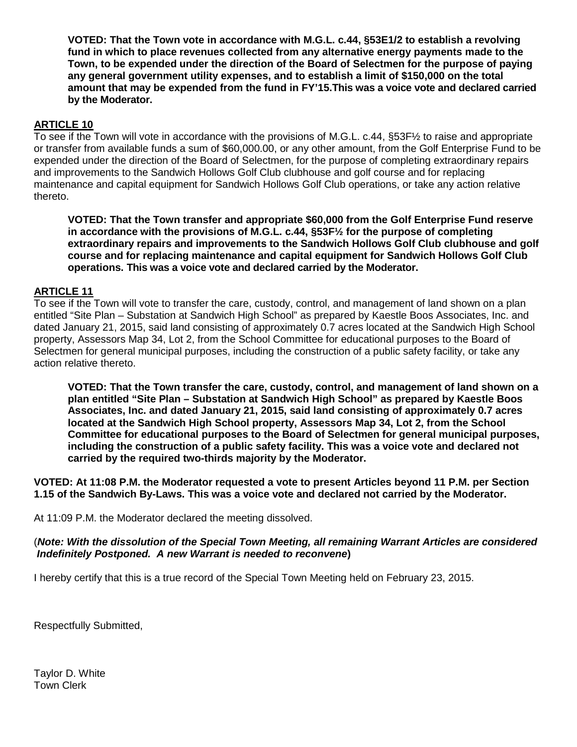**VOTED: That the Town vote in accordance with M.G.L. c.44, §53E1/2 to establish a revolving fund in which to place revenues collected from any alternative energy payments made to the Town, to be expended under the direction of the Board of Selectmen for the purpose of paying any general government utility expenses, and to establish a limit of \$150,000 on the total amount that may be expended from the fund in FY'15.This was a voice vote and declared carried by the Moderator.**

# **ARTICLE 10**

To see if the Town will vote in accordance with the provisions of M.G.L. c.44, §53F½ to raise and appropriate or transfer from available funds a sum of \$60,000.00, or any other amount, from the Golf Enterprise Fund to be expended under the direction of the Board of Selectmen, for the purpose of completing extraordinary repairs and improvements to the Sandwich Hollows Golf Club clubhouse and golf course and for replacing maintenance and capital equipment for Sandwich Hollows Golf Club operations, or take any action relative thereto.

**VOTED: That the Town transfer and appropriate \$60,000 from the Golf Enterprise Fund reserve in accordance with the provisions of M.G.L. c.44, §53F½ for the purpose of completing extraordinary repairs and improvements to the Sandwich Hollows Golf Club clubhouse and golf course and for replacing maintenance and capital equipment for Sandwich Hollows Golf Club operations. This was a voice vote and declared carried by the Moderator.**

# **ARTICLE 11**

To see if the Town will vote to transfer the care, custody, control, and management of land shown on a plan entitled "Site Plan – Substation at Sandwich High School" as prepared by Kaestle Boos Associates, Inc. and dated January 21, 2015, said land consisting of approximately 0.7 acres located at the Sandwich High School property, Assessors Map 34, Lot 2, from the School Committee for educational purposes to the Board of Selectmen for general municipal purposes, including the construction of a public safety facility, or take any action relative thereto.

**VOTED: That the Town transfer the care, custody, control, and management of land shown on a plan entitled "Site Plan – Substation at Sandwich High School" as prepared by Kaestle Boos Associates, Inc. and dated January 21, 2015, said land consisting of approximately 0.7 acres located at the Sandwich High School property, Assessors Map 34, Lot 2, from the School Committee for educational purposes to the Board of Selectmen for general municipal purposes, including the construction of a public safety facility. This was a voice vote and declared not carried by the required two-thirds majority by the Moderator.**

**VOTED: At 11:08 P.M. the Moderator requested a vote to present Articles beyond 11 P.M. per Section 1.15 of the Sandwich By-Laws. This was a voice vote and declared not carried by the Moderator.**

At 11:09 P.M. the Moderator declared the meeting dissolved.

# (*Note: With the dissolution of the Special Town Meeting, all remaining Warrant Articles are considered Indefinitely Postponed. A new Warrant is needed to reconvene***)**

I hereby certify that this is a true record of the Special Town Meeting held on February 23, 2015.

Respectfully Submitted,

Taylor D. White Town Clerk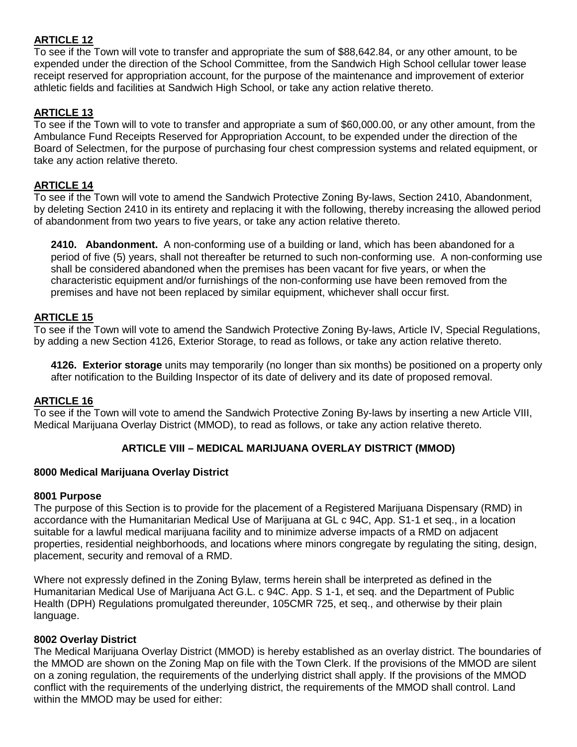# **ARTICLE 12**

To see if the Town will vote to transfer and appropriate the sum of \$88,642.84, or any other amount, to be expended under the direction of the School Committee, from the Sandwich High School cellular tower lease receipt reserved for appropriation account, for the purpose of the maintenance and improvement of exterior athletic fields and facilities at Sandwich High School, or take any action relative thereto.

# **ARTICLE 13**

To see if the Town will to vote to transfer and appropriate a sum of \$60,000.00, or any other amount, from the Ambulance Fund Receipts Reserved for Appropriation Account, to be expended under the direction of the Board of Selectmen, for the purpose of purchasing four chest compression systems and related equipment, or take any action relative thereto.

## **ARTICLE 14**

To see if the Town will vote to amend the Sandwich Protective Zoning By-laws, Section 2410, Abandonment, by deleting Section 2410 in its entirety and replacing it with the following, thereby increasing the allowed period of abandonment from two years to five years, or take any action relative thereto.

**2410. Abandonment.** A non-conforming use of a building or land, which has been abandoned for a period of five (5) years, shall not thereafter be returned to such non-conforming use. A non-conforming use shall be considered abandoned when the premises has been vacant for five years, or when the characteristic equipment and/or furnishings of the non-conforming use have been removed from the premises and have not been replaced by similar equipment, whichever shall occur first.

## **ARTICLE 15**

To see if the Town will vote to amend the Sandwich Protective Zoning By-laws, Article IV, Special Regulations, by adding a new Section 4126, Exterior Storage, to read as follows, or take any action relative thereto.

**4126. Exterior storage** units may temporarily (no longer than six months) be positioned on a property only after notification to the Building Inspector of its date of delivery and its date of proposed removal.

#### **ARTICLE 16**

To see if the Town will vote to amend the Sandwich Protective Zoning By-laws by inserting a new Article VIII, Medical Marijuana Overlay District (MMOD), to read as follows, or take any action relative thereto.

# **ARTICLE VIII – MEDICAL MARIJUANA OVERLAY DISTRICT (MMOD)**

#### **8000 Medical Marijuana Overlay District**

#### **8001 Purpose**

The purpose of this Section is to provide for the placement of a Registered Marijuana Dispensary (RMD) in accordance with the Humanitarian Medical Use of Marijuana at GL c 94C, App. S1-1 et seq., in a location suitable for a lawful medical marijuana facility and to minimize adverse impacts of a RMD on adjacent properties, residential neighborhoods, and locations where minors congregate by regulating the siting, design, placement, security and removal of a RMD.

Where not expressly defined in the Zoning Bylaw, terms herein shall be interpreted as defined in the Humanitarian Medical Use of Marijuana Act G.L. c 94C. App. S 1-1, et seq. and the Department of Public Health (DPH) Regulations promulgated thereunder, 105CMR 725, et seq., and otherwise by their plain language.

#### **8002 Overlay District**

The Medical Marijuana Overlay District (MMOD) is hereby established as an overlay district. The boundaries of the MMOD are shown on the Zoning Map on file with the Town Clerk. If the provisions of the MMOD are silent on a zoning regulation, the requirements of the underlying district shall apply. If the provisions of the MMOD conflict with the requirements of the underlying district, the requirements of the MMOD shall control. Land within the MMOD may be used for either: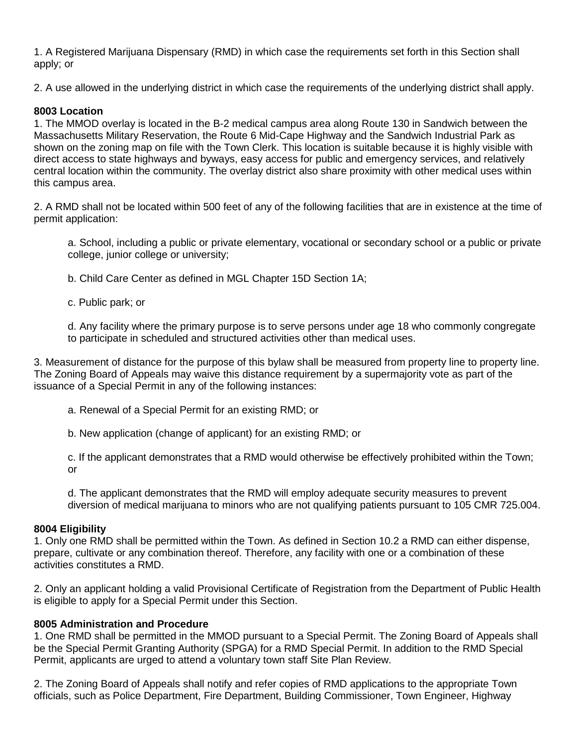1. A Registered Marijuana Dispensary (RMD) in which case the requirements set forth in this Section shall apply; or

2. A use allowed in the underlying district in which case the requirements of the underlying district shall apply.

# **8003 Location**

1. The MMOD overlay is located in the B-2 medical campus area along Route 130 in Sandwich between the Massachusetts Military Reservation, the Route 6 Mid-Cape Highway and the Sandwich Industrial Park as shown on the zoning map on file with the Town Clerk. This location is suitable because it is highly visible with direct access to state highways and byways, easy access for public and emergency services, and relatively central location within the community. The overlay district also share proximity with other medical uses within this campus area.

2. A RMD shall not be located within 500 feet of any of the following facilities that are in existence at the time of permit application:

a. School, including a public or private elementary, vocational or secondary school or a public or private college, junior college or university;

b. Child Care Center as defined in MGL Chapter 15D Section 1A;

c. Public park; or

d. Any facility where the primary purpose is to serve persons under age 18 who commonly congregate to participate in scheduled and structured activities other than medical uses.

3. Measurement of distance for the purpose of this bylaw shall be measured from property line to property line. The Zoning Board of Appeals may waive this distance requirement by a supermajority vote as part of the issuance of a Special Permit in any of the following instances:

a. Renewal of a Special Permit for an existing RMD; or

b. New application (change of applicant) for an existing RMD; or

c. If the applicant demonstrates that a RMD would otherwise be effectively prohibited within the Town; or

d. The applicant demonstrates that the RMD will employ adequate security measures to prevent diversion of medical marijuana to minors who are not qualifying patients pursuant to 105 CMR 725.004.

# **8004 Eligibility**

1. Only one RMD shall be permitted within the Town. As defined in Section 10.2 a RMD can either dispense, prepare, cultivate or any combination thereof. Therefore, any facility with one or a combination of these activities constitutes a RMD.

2. Only an applicant holding a valid Provisional Certificate of Registration from the Department of Public Health is eligible to apply for a Special Permit under this Section.

# **8005 Administration and Procedure**

1. One RMD shall be permitted in the MMOD pursuant to a Special Permit. The Zoning Board of Appeals shall be the Special Permit Granting Authority (SPGA) for a RMD Special Permit. In addition to the RMD Special Permit, applicants are urged to attend a voluntary town staff Site Plan Review.

2. The Zoning Board of Appeals shall notify and refer copies of RMD applications to the appropriate Town officials, such as Police Department, Fire Department, Building Commissioner, Town Engineer, Highway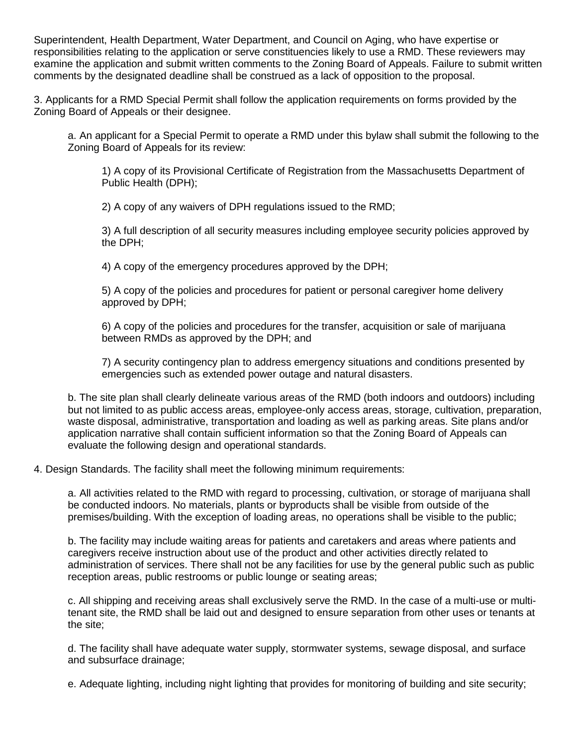Superintendent, Health Department, Water Department, and Council on Aging, who have expertise or responsibilities relating to the application or serve constituencies likely to use a RMD. These reviewers may examine the application and submit written comments to the Zoning Board of Appeals. Failure to submit written comments by the designated deadline shall be construed as a lack of opposition to the proposal.

3. Applicants for a RMD Special Permit shall follow the application requirements on forms provided by the Zoning Board of Appeals or their designee.

a. An applicant for a Special Permit to operate a RMD under this bylaw shall submit the following to the Zoning Board of Appeals for its review:

1) A copy of its Provisional Certificate of Registration from the Massachusetts Department of Public Health (DPH);

2) A copy of any waivers of DPH regulations issued to the RMD;

3) A full description of all security measures including employee security policies approved by the DPH;

4) A copy of the emergency procedures approved by the DPH;

5) A copy of the policies and procedures for patient or personal caregiver home delivery approved by DPH;

6) A copy of the policies and procedures for the transfer, acquisition or sale of marijuana between RMDs as approved by the DPH; and

7) A security contingency plan to address emergency situations and conditions presented by emergencies such as extended power outage and natural disasters.

b. The site plan shall clearly delineate various areas of the RMD (both indoors and outdoors) including but not limited to as public access areas, employee-only access areas, storage, cultivation, preparation, waste disposal, administrative, transportation and loading as well as parking areas. Site plans and/or application narrative shall contain sufficient information so that the Zoning Board of Appeals can evaluate the following design and operational standards.

4. Design Standards. The facility shall meet the following minimum requirements:

a. All activities related to the RMD with regard to processing, cultivation, or storage of marijuana shall be conducted indoors. No materials, plants or byproducts shall be visible from outside of the premises/building. With the exception of loading areas, no operations shall be visible to the public;

b. The facility may include waiting areas for patients and caretakers and areas where patients and caregivers receive instruction about use of the product and other activities directly related to administration of services. There shall not be any facilities for use by the general public such as public reception areas, public restrooms or public lounge or seating areas;

c. All shipping and receiving areas shall exclusively serve the RMD. In the case of a multi-use or multitenant site, the RMD shall be laid out and designed to ensure separation from other uses or tenants at the site;

d. The facility shall have adequate water supply, stormwater systems, sewage disposal, and surface and subsurface drainage;

e. Adequate lighting, including night lighting that provides for monitoring of building and site security;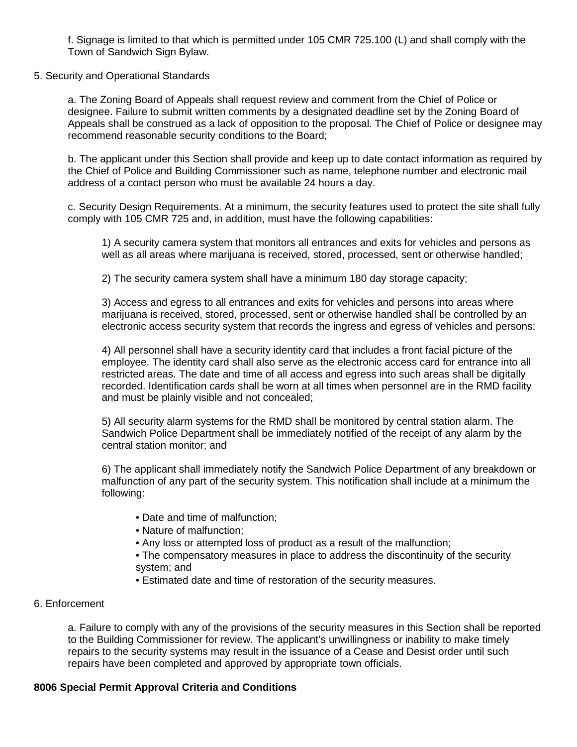f. Signage is limited to that which is permitted under 105 CMR 725.100 (L) and shall comply with the Town of Sandwich Sign Bylaw.

## 5. Security and Operational Standards

a. The Zoning Board of Appeals shall request review and comment from the Chief of Police or designee. Failure to submit written comments by a designated deadline set by the Zoning Board of Appeals shall be construed as a lack of opposition to the proposal. The Chief of Police or designee may recommend reasonable security conditions to the Board;

b. The applicant under this Section shall provide and keep up to date contact information as required by the Chief of Police and Building Commissioner such as name, telephone number and electronic mail address of a contact person who must be available 24 hours a day.

c. Security Design Requirements. At a minimum, the security features used to protect the site shall fully comply with 105 CMR 725 and, in addition, must have the following capabilities:

1) A security camera system that monitors all entrances and exits for vehicles and persons as well as all areas where marijuana is received, stored, processed, sent or otherwise handled;

2) The security camera system shall have a minimum 180 day storage capacity;

3) Access and egress to all entrances and exits for vehicles and persons into areas where marijuana is received, stored, processed, sent or otherwise handled shall be controlled by an electronic access security system that records the ingress and egress of vehicles and persons;

4) All personnel shall have a security identity card that includes a front facial picture of the employee. The identity card shall also serve as the electronic access card for entrance into all restricted areas. The date and time of all access and egress into such areas shall be digitally recorded. Identification cards shall be worn at all times when personnel are in the RMD facility and must be plainly visible and not concealed;

5) All security alarm systems for the RMD shall be monitored by central station alarm. The Sandwich Police Department shall be immediately notified of the receipt of any alarm by the central station monitor; and

6) The applicant shall immediately notify the Sandwich Police Department of any breakdown or malfunction of any part of the security system. This notification shall include at a minimum the following:

- Date and time of malfunction;
- Nature of malfunction;
- Any loss or attempted loss of product as a result of the malfunction;
- The compensatory measures in place to address the discontinuity of the security system; and
- Estimated date and time of restoration of the security measures.

# 6. Enforcement

a. Failure to comply with any of the provisions of the security measures in this Section shall be reported to the Building Commissioner for review. The applicant's unwillingness or inability to make timely repairs to the security systems may result in the issuance of a Cease and Desist order until such repairs have been completed and approved by appropriate town officials.

# **8006 Special Permit Approval Criteria and Conditions**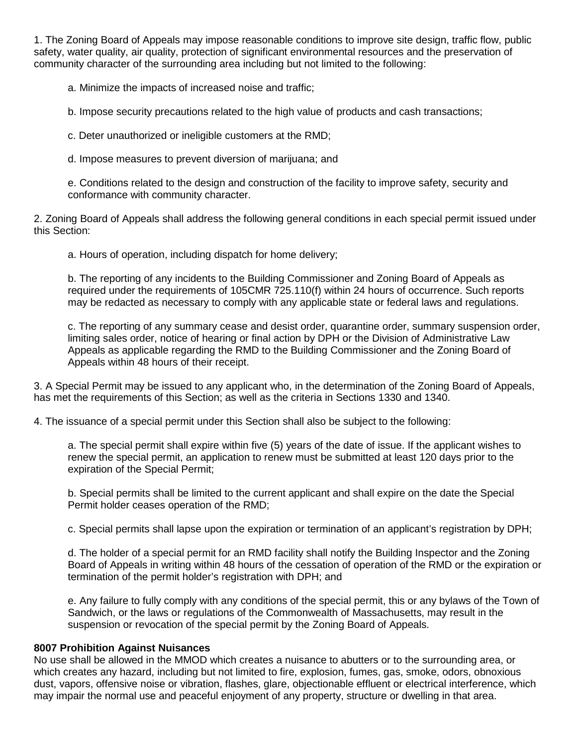1. The Zoning Board of Appeals may impose reasonable conditions to improve site design, traffic flow, public safety, water quality, air quality, protection of significant environmental resources and the preservation of community character of the surrounding area including but not limited to the following:

a. Minimize the impacts of increased noise and traffic;

b. Impose security precautions related to the high value of products and cash transactions;

c. Deter unauthorized or ineligible customers at the RMD;

d. Impose measures to prevent diversion of marijuana; and

e. Conditions related to the design and construction of the facility to improve safety, security and conformance with community character.

2. Zoning Board of Appeals shall address the following general conditions in each special permit issued under this Section:

a. Hours of operation, including dispatch for home delivery;

b. The reporting of any incidents to the Building Commissioner and Zoning Board of Appeals as required under the requirements of 105CMR 725.110(f) within 24 hours of occurrence. Such reports may be redacted as necessary to comply with any applicable state or federal laws and regulations.

c. The reporting of any summary cease and desist order, quarantine order, summary suspension order, limiting sales order, notice of hearing or final action by DPH or the Division of Administrative Law Appeals as applicable regarding the RMD to the Building Commissioner and the Zoning Board of Appeals within 48 hours of their receipt.

3. A Special Permit may be issued to any applicant who, in the determination of the Zoning Board of Appeals, has met the requirements of this Section; as well as the criteria in Sections 1330 and 1340.

4. The issuance of a special permit under this Section shall also be subject to the following:

a. The special permit shall expire within five (5) years of the date of issue. If the applicant wishes to renew the special permit, an application to renew must be submitted at least 120 days prior to the expiration of the Special Permit;

b. Special permits shall be limited to the current applicant and shall expire on the date the Special Permit holder ceases operation of the RMD;

c. Special permits shall lapse upon the expiration or termination of an applicant's registration by DPH;

d. The holder of a special permit for an RMD facility shall notify the Building Inspector and the Zoning Board of Appeals in writing within 48 hours of the cessation of operation of the RMD or the expiration or termination of the permit holder's registration with DPH; and

e. Any failure to fully comply with any conditions of the special permit, this or any bylaws of the Town of Sandwich, or the laws or regulations of the Commonwealth of Massachusetts, may result in the suspension or revocation of the special permit by the Zoning Board of Appeals.

#### **8007 Prohibition Against Nuisances**

No use shall be allowed in the MMOD which creates a nuisance to abutters or to the surrounding area, or which creates any hazard, including but not limited to fire, explosion, fumes, gas, smoke, odors, obnoxious dust, vapors, offensive noise or vibration, flashes, glare, objectionable effluent or electrical interference, which may impair the normal use and peaceful enjoyment of any property, structure or dwelling in that area.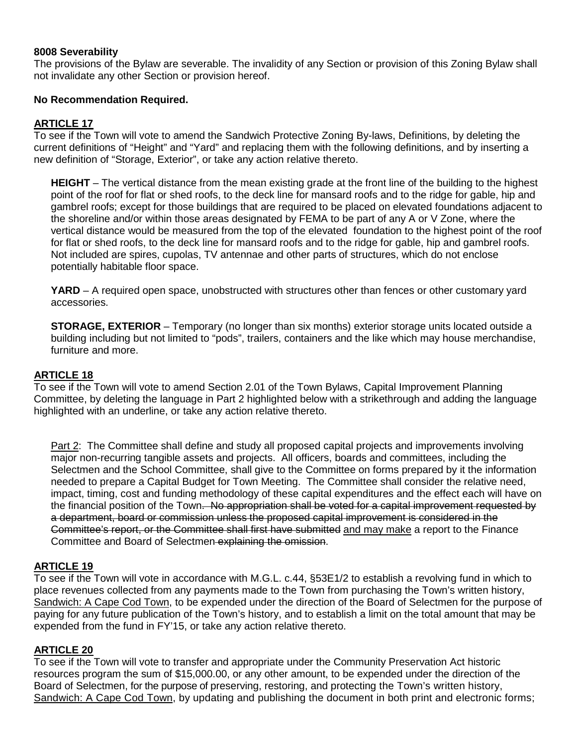## **8008 Severability**

The provisions of the Bylaw are severable. The invalidity of any Section or provision of this Zoning Bylaw shall not invalidate any other Section or provision hereof.

## **No Recommendation Required.**

## **ARTICLE 17**

To see if the Town will vote to amend the Sandwich Protective Zoning By-laws, Definitions, by deleting the current definitions of "Height" and "Yard" and replacing them with the following definitions, and by inserting a new definition of "Storage, Exterior", or take any action relative thereto.

**HEIGHT** – The vertical distance from the mean existing grade at the front line of the building to the highest point of the roof for flat or shed roofs, to the deck line for mansard roofs and to the ridge for gable, hip and gambrel roofs; except for those buildings that are required to be placed on elevated foundations adjacent to the shoreline and/or within those areas designated by FEMA to be part of any A or V Zone, where the vertical distance would be measured from the top of the elevated foundation to the highest point of the roof for flat or shed roofs, to the deck line for mansard roofs and to the ridge for gable, hip and gambrel roofs. Not included are spires, cupolas, TV antennae and other parts of structures, which do not enclose potentially habitable floor space.

YARD – A required open space, unobstructed with structures other than fences or other customary yard accessories.

**STORAGE, EXTERIOR** – Temporary (no longer than six months) exterior storage units located outside a building including but not limited to "pods", trailers, containers and the like which may house merchandise, furniture and more.

#### **ARTICLE 18**

To see if the Town will vote to amend Section 2.01 of the Town Bylaws, Capital Improvement Planning Committee, by deleting the language in Part 2 highlighted below with a strikethrough and adding the language highlighted with an underline, or take any action relative thereto.

Part 2: The Committee shall define and study all proposed capital projects and improvements involving major non-recurring tangible assets and projects. All officers, boards and committees, including the Selectmen and the School Committee, shall give to the Committee on forms prepared by it the information needed to prepare a Capital Budget for Town Meeting. The Committee shall consider the relative need, impact, timing, cost and funding methodology of these capital expenditures and the effect each will have on the financial position of the Town. No appropriation shall be voted for a capital improvement requested by a department, board or commission unless the proposed capital improvement is considered in the Committee's report, or the Committee shall first have submitted and may make a report to the Finance Committee and Board of Selectmen explaining the omission.

#### **ARTICLE 19**

To see if the Town will vote in accordance with M.G.L. c.44, §53E1/2 to establish a revolving fund in which to place revenues collected from any payments made to the Town from purchasing the Town's written history, Sandwich: A Cape Cod Town, to be expended under the direction of the Board of Selectmen for the purpose of paying for any future publication of the Town's history, and to establish a limit on the total amount that may be expended from the fund in FY'15, or take any action relative thereto.

#### **ARTICLE 20**

To see if the Town will vote to transfer and appropriate under the Community Preservation Act historic resources program the sum of \$15,000.00, or any other amount, to be expended under the direction of the Board of Selectmen, for the purpose of preserving, restoring, and protecting the Town's written history, Sandwich: A Cape Cod Town, by updating and publishing the document in both print and electronic forms;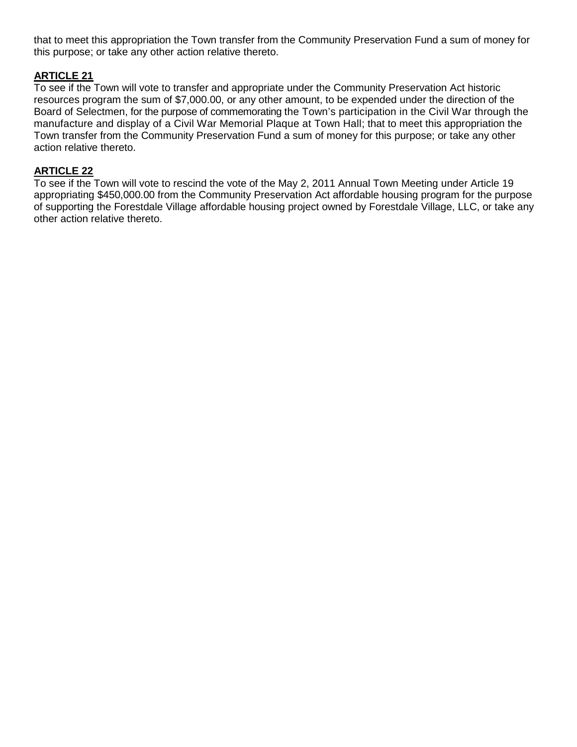that to meet this appropriation the Town transfer from the Community Preservation Fund a sum of money for this purpose; or take any other action relative thereto.

# **ARTICLE 21**

To see if the Town will vote to transfer and appropriate under the Community Preservation Act historic resources program the sum of \$7,000.00, or any other amount, to be expended under the direction of the Board of Selectmen, for the purpose of commemorating the Town's participation in the Civil War through the manufacture and display of a Civil War Memorial Plaque at Town Hall; that to meet this appropriation the Town transfer from the Community Preservation Fund a sum of money for this purpose; or take any other action relative thereto.

# **ARTICLE 22**

To see if the Town will vote to rescind the vote of the May 2, 2011 Annual Town Meeting under Article 19 appropriating \$450,000.00 from the Community Preservation Act affordable housing program for the purpose of supporting the Forestdale Village affordable housing project owned by Forestdale Village, LLC, or take any other action relative thereto.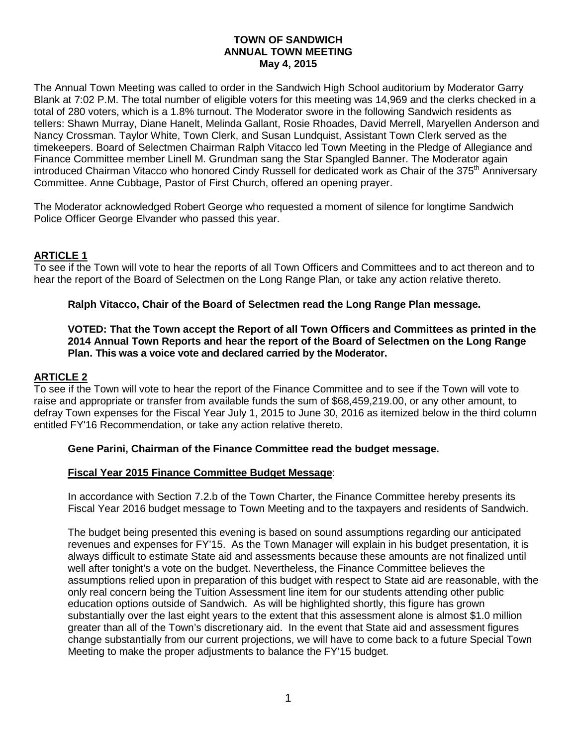# **TOWN OF SANDWICH ANNUAL TOWN MEETING May 4, 2015**

The Annual Town Meeting was called to order in the Sandwich High School auditorium by Moderator Garry Blank at 7:02 P.M. The total number of eligible voters for this meeting was 14,969 and the clerks checked in a total of 280 voters, which is a 1.8% turnout. The Moderator swore in the following Sandwich residents as tellers: Shawn Murray, Diane Hanelt, Melinda Gallant, Rosie Rhoades, David Merrell, Maryellen Anderson and Nancy Crossman. Taylor White, Town Clerk, and Susan Lundquist, Assistant Town Clerk served as the timekeepers. Board of Selectmen Chairman Ralph Vitacco led Town Meeting in the Pledge of Allegiance and Finance Committee member Linell M. Grundman sang the Star Spangled Banner. The Moderator again introduced Chairman Vitacco who honored Cindy Russell for dedicated work as Chair of the 375<sup>th</sup> Anniversary Committee. Anne Cubbage, Pastor of First Church, offered an opening prayer.

The Moderator acknowledged Robert George who requested a moment of silence for longtime Sandwich Police Officer George Elvander who passed this year.

# **ARTICLE 1**

To see if the Town will vote to hear the reports of all Town Officers and Committees and to act thereon and to hear the report of the Board of Selectmen on the Long Range Plan, or take any action relative thereto.

## **Ralph Vitacco, Chair of the Board of Selectmen read the Long Range Plan message.**

#### **VOTED: That the Town accept the Report of all Town Officers and Committees as printed in the 2014 Annual Town Reports and hear the report of the Board of Selectmen on the Long Range Plan. This was a voice vote and declared carried by the Moderator.**

#### **ARTICLE 2**

To see if the Town will vote to hear the report of the Finance Committee and to see if the Town will vote to raise and appropriate or transfer from available funds the sum of \$68,459,219.00, or any other amount, to defray Town expenses for the Fiscal Year July 1, 2015 to June 30, 2016 as itemized below in the third column entitled FY'16 Recommendation, or take any action relative thereto.

#### **Gene Parini, Chairman of the Finance Committee read the budget message.**

#### **Fiscal Year 2015 Finance Committee Budget Message**:

In accordance with Section 7.2.b of the Town Charter, the Finance Committee hereby presents its Fiscal Year 2016 budget message to Town Meeting and to the taxpayers and residents of Sandwich.

The budget being presented this evening is based on sound assumptions regarding our anticipated revenues and expenses for FY'15. As the Town Manager will explain in his budget presentation, it is always difficult to estimate State aid and assessments because these amounts are not finalized until well after tonight's a vote on the budget. Nevertheless, the Finance Committee believes the assumptions relied upon in preparation of this budget with respect to State aid are reasonable, with the only real concern being the Tuition Assessment line item for our students attending other public education options outside of Sandwich. As will be highlighted shortly, this figure has grown substantially over the last eight years to the extent that this assessment alone is almost \$1.0 million greater than all of the Town's discretionary aid. In the event that State aid and assessment figures change substantially from our current projections, we will have to come back to a future Special Town Meeting to make the proper adjustments to balance the FY'15 budget.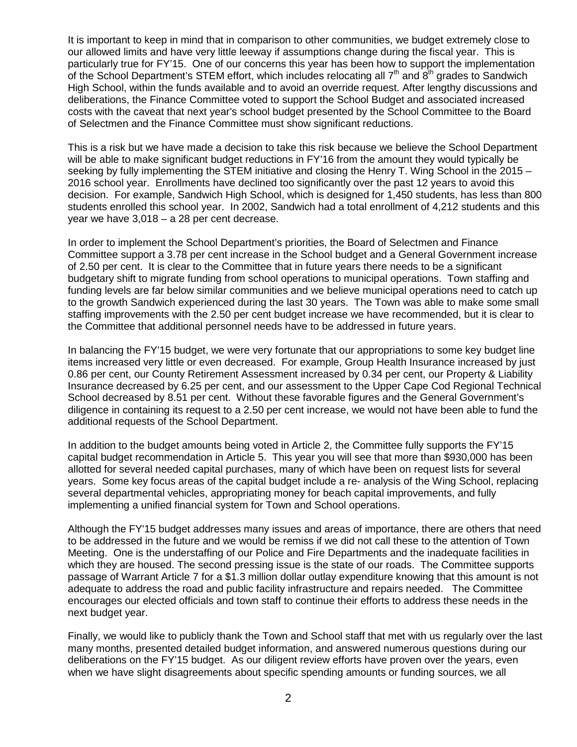It is important to keep in mind that in comparison to other communities, we budget extremely close to our allowed limits and have very little leeway if assumptions change during the fiscal year. This is particularly true for FY'15. One of our concerns this year has been how to support the implementation of the School Department's STEM effort, which includes relocating all  $7<sup>th</sup>$  and  $8<sup>th</sup>$  grades to Sandwich High School, within the funds available and to avoid an override request. After lengthy discussions and deliberations, the Finance Committee voted to support the School Budget and associated increased costs with the caveat that next year's school budget presented by the School Committee to the Board of Selectmen and the Finance Committee must show significant reductions.

This is a risk but we have made a decision to take this risk because we believe the School Department will be able to make significant budget reductions in FY'16 from the amount they would typically be seeking by fully implementing the STEM initiative and closing the Henry T. Wing School in the 2015 – 2016 school year. Enrollments have declined too significantly over the past 12 years to avoid this decision. For example, Sandwich High School, which is designed for 1,450 students, has less than 800 students enrolled this school year. In 2002, Sandwich had a total enrollment of 4,212 students and this year we have 3,018 – a 28 per cent decrease.

In order to implement the School Department's priorities, the Board of Selectmen and Finance Committee support a 3.78 per cent increase in the School budget and a General Government increase of 2.50 per cent. It is clear to the Committee that in future years there needs to be a significant budgetary shift to migrate funding from school operations to municipal operations. Town staffing and funding levels are far below similar communities and we believe municipal operations need to catch up to the growth Sandwich experienced during the last 30 years. The Town was able to make some small staffing improvements with the 2.50 per cent budget increase we have recommended, but it is clear to the Committee that additional personnel needs have to be addressed in future years.

In balancing the FY'15 budget, we were very fortunate that our appropriations to some key budget line items increased very little or even decreased. For example, Group Health Insurance increased by just 0.86 per cent, our County Retirement Assessment increased by 0.34 per cent, our Property & Liability Insurance decreased by 6.25 per cent, and our assessment to the Upper Cape Cod Regional Technical School decreased by 8.51 per cent. Without these favorable figures and the General Government's diligence in containing its request to a 2.50 per cent increase, we would not have been able to fund the additional requests of the School Department.

In addition to the budget amounts being voted in Article 2, the Committee fully supports the FY'15 capital budget recommendation in Article 5. This year you will see that more than \$930,000 has been allotted for several needed capital purchases, many of which have been on request lists for several years. Some key focus areas of the capital budget include a re- analysis of the Wing School, replacing several departmental vehicles, appropriating money for beach capital improvements, and fully implementing a unified financial system for Town and School operations.

Although the FY'15 budget addresses many issues and areas of importance, there are others that need to be addressed in the future and we would be remiss if we did not call these to the attention of Town Meeting. One is the understaffing of our Police and Fire Departments and the inadequate facilities in which they are housed. The second pressing issue is the state of our roads. The Committee supports passage of Warrant Article 7 for a \$1.3 million dollar outlay expenditure knowing that this amount is not adequate to address the road and public facility infrastructure and repairs needed. The Committee encourages our elected officials and town staff to continue their efforts to address these needs in the next budget year.

Finally, we would like to publicly thank the Town and School staff that met with us regularly over the last many months, presented detailed budget information, and answered numerous questions during our deliberations on the FY'15 budget. As our diligent review efforts have proven over the years, even when we have slight disagreements about specific spending amounts or funding sources, we all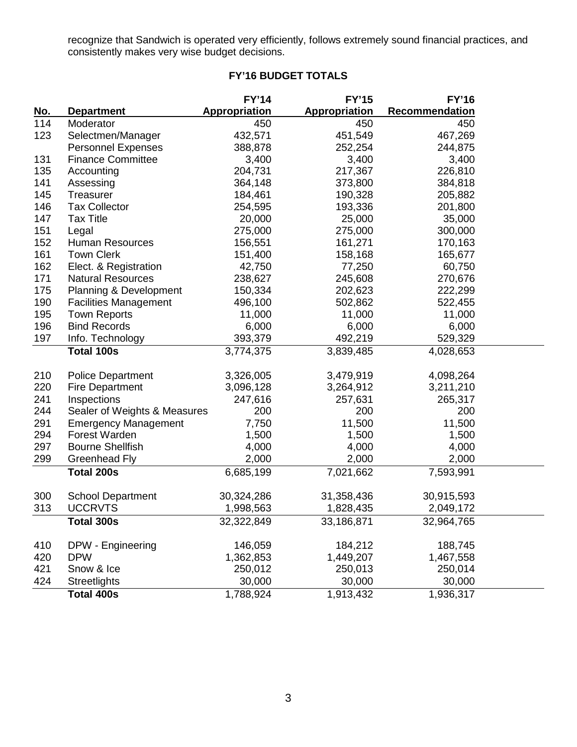recognize that Sandwich is operated very efficiently, follows extremely sound financial practices, and consistently makes very wise budget decisions.

# **FY'16 BUDGET TOTALS**

|            |                              | <b>FY'14</b>  | <b>FY'15</b>  | <b>FY'16</b>          |
|------------|------------------------------|---------------|---------------|-----------------------|
| <u>No.</u> | <b>Department</b>            | Appropriation | Appropriation | <b>Recommendation</b> |
| 114        | Moderator                    | 450           | 450           | 450                   |
| 123        | Selectmen/Manager            | 432,571       | 451,549       | 467,269               |
|            | <b>Personnel Expenses</b>    | 388,878       | 252,254       | 244,875               |
| 131        | <b>Finance Committee</b>     | 3,400         | 3,400         | 3,400                 |
| 135        | Accounting                   | 204,731       | 217,367       | 226,810               |
| 141        | Assessing                    | 364,148       | 373,800       | 384,818               |
| 145        | Treasurer                    | 184,461       | 190,328       | 205,882               |
| 146        | <b>Tax Collector</b>         | 254,595       | 193,336       | 201,800               |
| 147        | <b>Tax Title</b>             | 20,000        | 25,000        | 35,000                |
| 151        | Legal                        | 275,000       | 275,000       | 300,000               |
| 152        | <b>Human Resources</b>       | 156,551       | 161,271       | 170,163               |
| 161        | <b>Town Clerk</b>            | 151,400       | 158,168       | 165,677               |
| 162        | Elect. & Registration        | 42,750        | 77,250        | 60,750                |
| 171        | <b>Natural Resources</b>     | 238,627       | 245,608       | 270,676               |
| 175        | Planning & Development       | 150,334       | 202,623       | 222,299               |
| 190        | <b>Facilities Management</b> | 496,100       | 502,862       | 522,455               |
| 195        | <b>Town Reports</b>          | 11,000        | 11,000        | 11,000                |
| 196        | <b>Bind Records</b>          | 6,000         | 6,000         | 6,000                 |
| 197        | Info. Technology             | 393,379       | 492,219       | 529,329               |
|            | Total 100s                   | 3,774,375     | 3,839,485     | 4,028,653             |
| 210        | <b>Police Department</b>     | 3,326,005     | 3,479,919     | 4,098,264             |
| 220        | <b>Fire Department</b>       | 3,096,128     | 3,264,912     | 3,211,210             |
| 241        | Inspections                  | 247,616       | 257,631       | 265,317               |
| 244        | Sealer of Weights & Measures | 200           | 200           | 200                   |
| 291        | <b>Emergency Management</b>  | 7,750         | 11,500        | 11,500                |
| 294        | Forest Warden                | 1,500         | 1,500         | 1,500                 |
| 297        | <b>Bourne Shellfish</b>      | 4,000         | 4,000         | 4,000                 |
| 299        | Greenhead Fly                | 2,000         | 2,000         | 2,000                 |
|            | <b>Total 200s</b>            | 6,685,199     | 7,021,662     | 7,593,991             |
| 300        | <b>School Department</b>     | 30,324,286    | 31,358,436    | 30,915,593            |
| 313        | <b>UCCRVTS</b>               | 1,998,563     | 1,828,435     | 2,049,172             |
|            | Total 300s                   | 32,322,849    | 33,186,871    | 32,964,765            |
| 410        | DPW - Engineering            | 146,059       | 184,212       | 188,745               |
| 420        | <b>DPW</b>                   | 1,362,853     | 1,449,207     | 1,467,558             |
| 421        | Snow & Ice                   | 250,012       | 250,013       | 250,014               |
| 424        | <b>Streetlights</b>          | 30,000        | 30,000        | 30,000                |
|            | <b>Total 400s</b>            | 1,788,924     | 1,913,432     | 1,936,317             |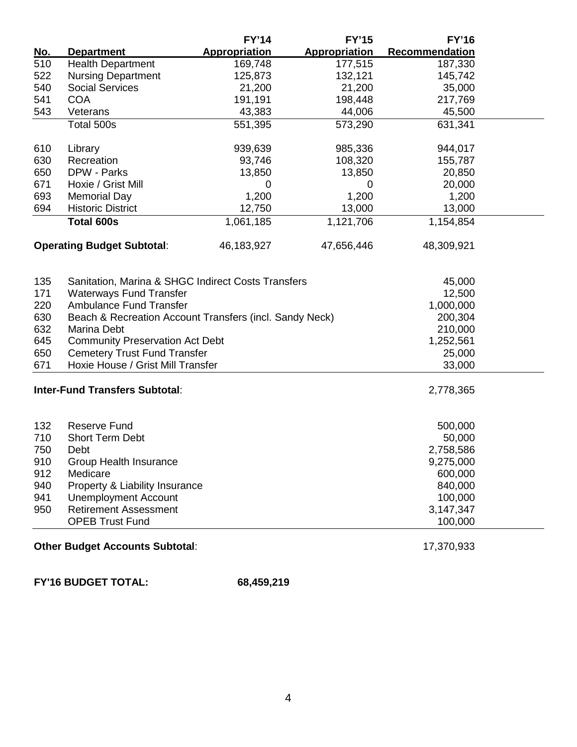|            |                                                         | <b>FY'14</b>         | <b>FY'15</b>         | <b>FY'16</b>   |  |
|------------|---------------------------------------------------------|----------------------|----------------------|----------------|--|
| <u>No.</u> | <b>Department</b>                                       | <b>Appropriation</b> | <b>Appropriation</b> | Recommendation |  |
| 510        | <b>Health Department</b>                                | 169,748              | 177,515              | 187,330        |  |
| 522        | <b>Nursing Department</b>                               | 125,873              | 132,121              | 145,742        |  |
| 540        | <b>Social Services</b>                                  | 21,200               | 21,200               | 35,000         |  |
| 541        | <b>COA</b>                                              | 191,191              | 198,448              | 217,769        |  |
| 543        | Veterans                                                | 43,383               | 44,006               | 45,500         |  |
|            | Total 500s                                              | 551,395              | 573,290              | 631,341        |  |
| 610        | Library                                                 | 939,639              | 985,336              | 944,017        |  |
| 630        | Recreation                                              | 93,746               | 108,320              | 155,787        |  |
| 650        | DPW - Parks                                             | 13,850               | 13,850               | 20,850         |  |
| 671        | Hoxie / Grist Mill                                      | 0                    | 0                    | 20,000         |  |
| 693        | <b>Memorial Day</b>                                     | 1,200                | 1,200                | 1,200          |  |
| 694        | <b>Historic District</b>                                | 12,750               | 13,000               | 13,000         |  |
|            | <b>Total 600s</b>                                       | 1,061,185            | 1,121,706            | 1,154,854      |  |
|            | <b>Operating Budget Subtotal:</b>                       | 46,183,927           | 47,656,446           | 48,309,921     |  |
| 135        | Sanitation, Marina & SHGC Indirect Costs Transfers      |                      |                      | 45,000         |  |
| 171        | <b>Waterways Fund Transfer</b>                          |                      |                      | 12,500         |  |
| 220        | <b>Ambulance Fund Transfer</b>                          |                      |                      | 1,000,000      |  |
| 630        | Beach & Recreation Account Transfers (incl. Sandy Neck) | 200,304              |                      |                |  |
| 632        | <b>Marina Debt</b>                                      | 210,000              |                      |                |  |
| 645        | <b>Community Preservation Act Debt</b>                  | 1,252,561            |                      |                |  |
| 650        | <b>Cemetery Trust Fund Transfer</b>                     |                      |                      | 25,000         |  |
| 671        | Hoxie House / Grist Mill Transfer                       |                      |                      | 33,000         |  |
|            | <b>Inter-Fund Transfers Subtotal:</b>                   |                      |                      | 2,778,365      |  |
| 132        | <b>Reserve Fund</b>                                     |                      |                      | 500,000        |  |
| 710        | <b>Short Term Debt</b>                                  |                      |                      | 50,000         |  |
| 750        | Debt                                                    | 2,758,586            |                      |                |  |
| 910        | <b>Group Health Insurance</b>                           | 9,275,000            |                      |                |  |
| 912        | Medicare                                                | 600,000              |                      |                |  |
| 940        | Property & Liability Insurance                          | 840,000              |                      |                |  |
| 941        | <b>Unemployment Account</b>                             |                      |                      | 100,000        |  |
| 950        | <b>Retirement Assessment</b>                            |                      |                      | 3,147,347      |  |
|            | <b>OPEB Trust Fund</b><br>100,000                       |                      |                      |                |  |
|            |                                                         |                      |                      |                |  |

# **Other Budget Accounts Subtotal:** 17,370,933

**FY'16 BUDGET TOTAL: 68,459,219**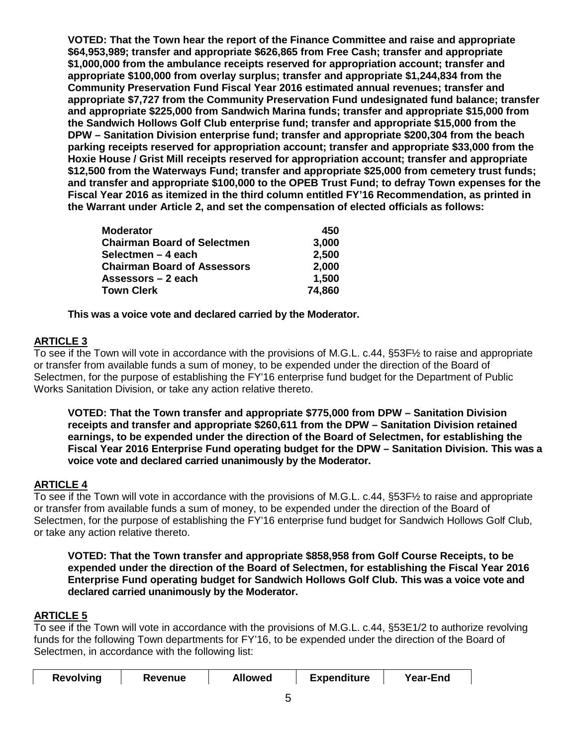**VOTED: That the Town hear the report of the Finance Committee and raise and appropriate \$64,953,989; transfer and appropriate \$626,865 from Free Cash; transfer and appropriate \$1,000,000 from the ambulance receipts reserved for appropriation account; transfer and appropriate \$100,000 from overlay surplus; transfer and appropriate \$1,244,834 from the Community Preservation Fund Fiscal Year 2016 estimated annual revenues; transfer and appropriate \$7,727 from the Community Preservation Fund undesignated fund balance; transfer and appropriate \$225,000 from Sandwich Marina funds; transfer and appropriate \$15,000 from the Sandwich Hollows Golf Club enterprise fund; transfer and appropriate \$15,000 from the DPW – Sanitation Division enterprise fund; transfer and appropriate \$200,304 from the beach parking receipts reserved for appropriation account; transfer and appropriate \$33,000 from the Hoxie House / Grist Mill receipts reserved for appropriation account; transfer and appropriate \$12,500 from the Waterways Fund; transfer and appropriate \$25,000 from cemetery trust funds; and transfer and appropriate \$100,000 to the OPEB Trust Fund; to defray Town expenses for the Fiscal Year 2016 as itemized in the third column entitled FY'16 Recommendation, as printed in the Warrant under Article 2, and set the compensation of elected officials as follows:**

| <b>Moderator</b>                   | 450    |
|------------------------------------|--------|
| <b>Chairman Board of Selectmen</b> | 3,000  |
| Selectmen - 4 each                 | 2,500  |
| <b>Chairman Board of Assessors</b> | 2,000  |
| Assessors - 2 each                 | 1,500  |
| <b>Town Clerk</b>                  | 74,860 |

**This was a voice vote and declared carried by the Moderator.**

# **ARTICLE 3**

To see if the Town will vote in accordance with the provisions of M.G.L. c.44, §53F½ to raise and appropriate or transfer from available funds a sum of money, to be expended under the direction of the Board of Selectmen, for the purpose of establishing the FY'16 enterprise fund budget for the Department of Public Works Sanitation Division, or take any action relative thereto.

**VOTED: That the Town transfer and appropriate \$775,000 from DPW – Sanitation Division receipts and transfer and appropriate \$260,611 from the DPW – Sanitation Division retained earnings, to be expended under the direction of the Board of Selectmen, for establishing the Fiscal Year 2016 Enterprise Fund operating budget for the DPW – Sanitation Division. This was a voice vote and declared carried unanimously by the Moderator.**

# **ARTICLE 4**

To see if the Town will vote in accordance with the provisions of M.G.L. c.44, §53F½ to raise and appropriate or transfer from available funds a sum of money, to be expended under the direction of the Board of Selectmen, for the purpose of establishing the FY'16 enterprise fund budget for Sandwich Hollows Golf Club, or take any action relative thereto.

**VOTED: That the Town transfer and appropriate \$858,958 from Golf Course Receipts, to be expended under the direction of the Board of Selectmen, for establishing the Fiscal Year 2016 Enterprise Fund operating budget for Sandwich Hollows Golf Club. This was a voice vote and declared carried unanimously by the Moderator.**

# **ARTICLE 5**

To see if the Town will vote in accordance with the provisions of M.G.L. c.44, §53E1/2 to authorize revolving funds for the following Town departments for FY'16, to be expended under the direction of the Board of Selectmen, in accordance with the following list:

| <b>Revolving</b> | Revenue | <b>Allowed</b> | <b>Expenditure</b> | <b>Year-End</b> |
|------------------|---------|----------------|--------------------|-----------------|
|------------------|---------|----------------|--------------------|-----------------|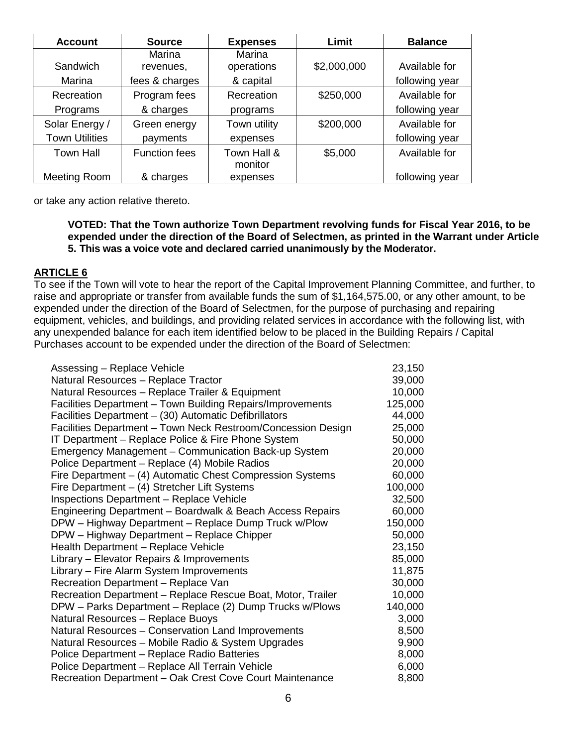| <b>Account</b>        | <b>Source</b>        | <b>Expenses</b> | Limit       | <b>Balance</b> |
|-----------------------|----------------------|-----------------|-------------|----------------|
|                       | Marina               | <b>Marina</b>   |             |                |
| Sandwich              | revenues,            | operations      | \$2,000,000 | Available for  |
| Marina                | fees & charges       | & capital       |             | following year |
| Recreation            | Program fees         | Recreation      | \$250,000   | Available for  |
| Programs              | & charges            | programs        |             | following year |
| Solar Energy /        | Green energy         | Town utility    | \$200,000   | Available for  |
| <b>Town Utilities</b> | payments             | expenses        |             | following year |
| <b>Town Hall</b>      | <b>Function fees</b> | Town Hall &     | \$5,000     | Available for  |
|                       |                      | monitor         |             |                |
| Meeting Room          | & charges            | expenses        |             | following year |

or take any action relative thereto.

## **VOTED: That the Town authorize Town Department revolving funds for Fiscal Year 2016, to be expended under the direction of the Board of Selectmen, as printed in the Warrant under Article 5. This was a voice vote and declared carried unanimously by the Moderator.**

# **ARTICLE 6**

To see if the Town will vote to hear the report of the Capital Improvement Planning Committee, and further, to raise and appropriate or transfer from available funds the sum of \$1,164,575.00, or any other amount, to be expended under the direction of the Board of Selectmen, for the purpose of purchasing and repairing equipment, vehicles, and buildings, and providing related services in accordance with the following list, with any unexpended balance for each item identified below to be placed in the Building Repairs / Capital Purchases account to be expended under the direction of the Board of Selectmen:

| Assessing - Replace Vehicle                                  | 23,150  |
|--------------------------------------------------------------|---------|
| Natural Resources - Replace Tractor                          | 39,000  |
| Natural Resources - Replace Trailer & Equipment              | 10,000  |
| Facilities Department - Town Building Repairs/Improvements   | 125,000 |
| Facilities Department - (30) Automatic Defibrillators        | 44,000  |
| Facilities Department - Town Neck Restroom/Concession Design | 25,000  |
| IT Department - Replace Police & Fire Phone System           | 50,000  |
| Emergency Management - Communication Back-up System          | 20,000  |
| Police Department - Replace (4) Mobile Radios                | 20,000  |
| Fire Department – (4) Automatic Chest Compression Systems    | 60,000  |
| Fire Department - (4) Stretcher Lift Systems                 | 100,000 |
| <b>Inspections Department - Replace Vehicle</b>              | 32,500  |
| Engineering Department - Boardwalk & Beach Access Repairs    | 60,000  |
| DPW - Highway Department - Replace Dump Truck w/Plow         | 150,000 |
| DPW - Highway Department - Replace Chipper                   | 50,000  |
| Health Department - Replace Vehicle                          | 23,150  |
| Library – Elevator Repairs & Improvements                    | 85,000  |
| Library - Fire Alarm System Improvements                     | 11,875  |
| Recreation Department - Replace Van                          | 30,000  |
| Recreation Department - Replace Rescue Boat, Motor, Trailer  | 10,000  |
| DPW - Parks Department - Replace (2) Dump Trucks w/Plows     | 140,000 |
| Natural Resources - Replace Buoys                            | 3,000   |
| Natural Resources - Conservation Land Improvements           | 8,500   |
| Natural Resources - Mobile Radio & System Upgrades           | 9,900   |
| Police Department - Replace Radio Batteries                  | 8,000   |
| Police Department - Replace All Terrain Vehicle              | 6,000   |
| Recreation Department - Oak Crest Cove Court Maintenance     | 8,800   |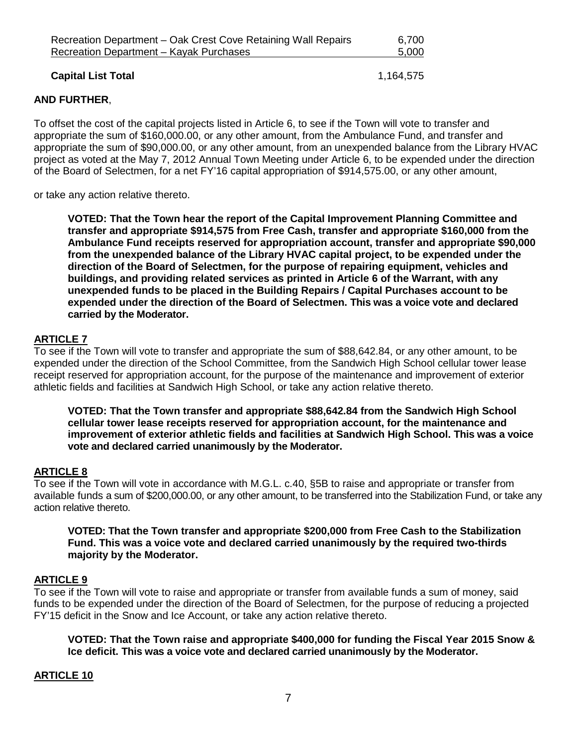| Recreation Department – Oak Crest Cove Retaining Wall Repairs | 6,700 |
|---------------------------------------------------------------|-------|
| Recreation Department – Kayak Purchases                       | 5,000 |
|                                                               |       |

**Capital List Total** 1,164,575

# **AND FURTHER**,

To offset the cost of the capital projects listed in Article 6, to see if the Town will vote to transfer and appropriate the sum of \$160,000.00, or any other amount, from the Ambulance Fund, and transfer and appropriate the sum of \$90,000.00, or any other amount, from an unexpended balance from the Library HVAC project as voted at the May 7, 2012 Annual Town Meeting under Article 6, to be expended under the direction of the Board of Selectmen, for a net FY'16 capital appropriation of \$914,575.00, or any other amount,

or take any action relative thereto.

**VOTED: That the Town hear the report of the Capital Improvement Planning Committee and transfer and appropriate \$914,575 from Free Cash, transfer and appropriate \$160,000 from the Ambulance Fund receipts reserved for appropriation account, transfer and appropriate \$90,000 from the unexpended balance of the Library HVAC capital project, to be expended under the direction of the Board of Selectmen, for the purpose of repairing equipment, vehicles and buildings, and providing related services as printed in Article 6 of the Warrant, with any unexpended funds to be placed in the Building Repairs / Capital Purchases account to be expended under the direction of the Board of Selectmen. This was a voice vote and declared carried by the Moderator.**

## **ARTICLE 7**

To see if the Town will vote to transfer and appropriate the sum of \$88,642.84, or any other amount, to be expended under the direction of the School Committee, from the Sandwich High School cellular tower lease receipt reserved for appropriation account, for the purpose of the maintenance and improvement of exterior athletic fields and facilities at Sandwich High School, or take any action relative thereto.

**VOTED: That the Town transfer and appropriate \$88,642.84 from the Sandwich High School cellular tower lease receipts reserved for appropriation account, for the maintenance and improvement of exterior athletic fields and facilities at Sandwich High School. This was a voice vote and declared carried unanimously by the Moderator.**

#### **ARTICLE 8**

To see if the Town will vote in accordance with M.G.L. c.40, §5B to raise and appropriate or transfer from available funds a sum of \$200,000.00, or any other amount, to be transferred into the Stabilization Fund, or take any action relative thereto.

## **VOTED: That the Town transfer and appropriate \$200,000 from Free Cash to the Stabilization Fund. This was a voice vote and declared carried unanimously by the required two-thirds majority by the Moderator.**

#### **ARTICLE 9**

To see if the Town will vote to raise and appropriate or transfer from available funds a sum of money, said funds to be expended under the direction of the Board of Selectmen, for the purpose of reducing a projected FY'15 deficit in the Snow and Ice Account, or take any action relative thereto.

**VOTED: That the Town raise and appropriate \$400,000 for funding the Fiscal Year 2015 Snow & Ice deficit. This was a voice vote and declared carried unanimously by the Moderator.**

#### **ARTICLE 10**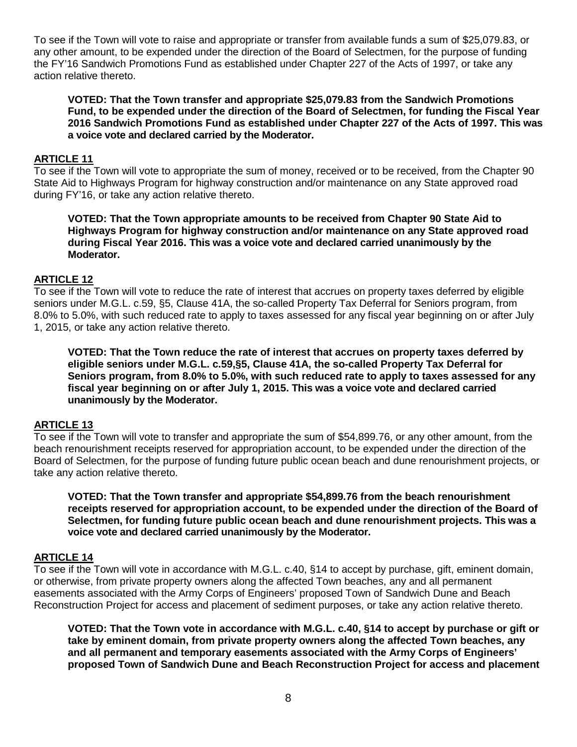To see if the Town will vote to raise and appropriate or transfer from available funds a sum of \$25,079.83, or any other amount, to be expended under the direction of the Board of Selectmen, for the purpose of funding the FY'16 Sandwich Promotions Fund as established under Chapter 227 of the Acts of 1997, or take any action relative thereto.

**VOTED: That the Town transfer and appropriate \$25,079.83 from the Sandwich Promotions Fund, to be expended under the direction of the Board of Selectmen, for funding the Fiscal Year 2016 Sandwich Promotions Fund as established under Chapter 227 of the Acts of 1997. This was a voice vote and declared carried by the Moderator.**

## **ARTICLE 11**

To see if the Town will vote to appropriate the sum of money, received or to be received, from the Chapter 90 State Aid to Highways Program for highway construction and/or maintenance on any State approved road during FY'16, or take any action relative thereto.

**VOTED: That the Town appropriate amounts to be received from Chapter 90 State Aid to Highways Program for highway construction and/or maintenance on any State approved road during Fiscal Year 2016. This was a voice vote and declared carried unanimously by the Moderator.**

## **ARTICLE 12**

To see if the Town will vote to reduce the rate of interest that accrues on property taxes deferred by eligible seniors under M.G.L. c.59, §5, Clause 41A, the so-called Property Tax Deferral for Seniors program, from 8.0% to 5.0%, with such reduced rate to apply to taxes assessed for any fiscal year beginning on or after July 1, 2015, or take any action relative thereto.

**VOTED: That the Town reduce the rate of interest that accrues on property taxes deferred by eligible seniors under M.G.L. c.59,§5, Clause 41A, the so-called Property Tax Deferral for Seniors program, from 8.0% to 5.0%, with such reduced rate to apply to taxes assessed for any fiscal year beginning on or after July 1, 2015. This was a voice vote and declared carried unanimously by the Moderator.**

#### **ARTICLE 13**

To see if the Town will vote to transfer and appropriate the sum of \$54,899.76, or any other amount, from the beach renourishment receipts reserved for appropriation account, to be expended under the direction of the Board of Selectmen, for the purpose of funding future public ocean beach and dune renourishment projects, or take any action relative thereto.

**VOTED: That the Town transfer and appropriate \$54,899.76 from the beach renourishment receipts reserved for appropriation account, to be expended under the direction of the Board of Selectmen, for funding future public ocean beach and dune renourishment projects. This was a voice vote and declared carried unanimously by the Moderator.**

#### **ARTICLE 14**

To see if the Town will vote in accordance with M.G.L. c.40, §14 to accept by purchase, gift, eminent domain, or otherwise, from private property owners along the affected Town beaches, any and all permanent easements associated with the Army Corps of Engineers' proposed Town of Sandwich Dune and Beach Reconstruction Project for access and placement of sediment purposes, or take any action relative thereto.

**VOTED: That the Town vote in accordance with M.G.L. c.40, §14 to accept by purchase or gift or take by eminent domain, from private property owners along the affected Town beaches, any and all permanent and temporary easements associated with the Army Corps of Engineers' proposed Town of Sandwich Dune and Beach Reconstruction Project for access and placement**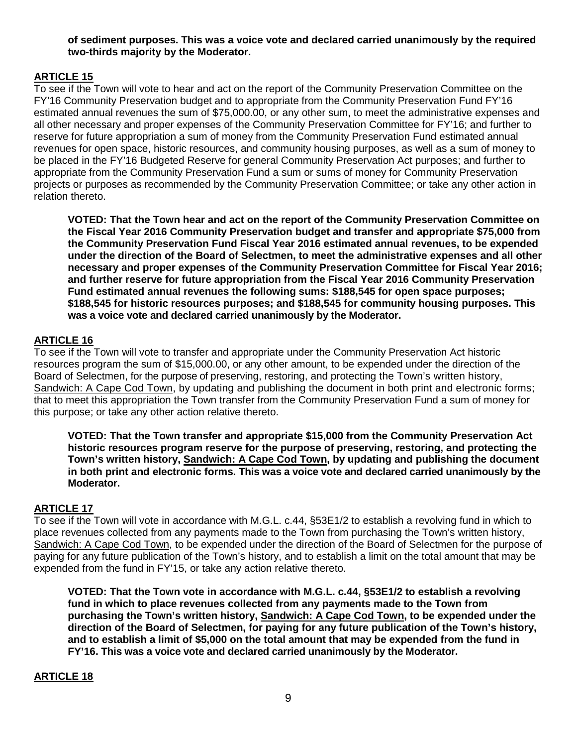# **of sediment purposes. This was a voice vote and declared carried unanimously by the required two-thirds majority by the Moderator.**

# **ARTICLE 15**

To see if the Town will vote to hear and act on the report of the Community Preservation Committee on the FY'16 Community Preservation budget and to appropriate from the Community Preservation Fund FY'16 estimated annual revenues the sum of \$75,000.00, or any other sum, to meet the administrative expenses and all other necessary and proper expenses of the Community Preservation Committee for FY'16; and further to reserve for future appropriation a sum of money from the Community Preservation Fund estimated annual revenues for open space, historic resources, and community housing purposes, as well as a sum of money to be placed in the FY'16 Budgeted Reserve for general Community Preservation Act purposes; and further to appropriate from the Community Preservation Fund a sum or sums of money for Community Preservation projects or purposes as recommended by the Community Preservation Committee; or take any other action in relation thereto.

**VOTED: That the Town hear and act on the report of the Community Preservation Committee on the Fiscal Year 2016 Community Preservation budget and transfer and appropriate \$75,000 from the Community Preservation Fund Fiscal Year 2016 estimated annual revenues, to be expended under the direction of the Board of Selectmen, to meet the administrative expenses and all other necessary and proper expenses of the Community Preservation Committee for Fiscal Year 2016; and further reserve for future appropriation from the Fiscal Year 2016 Community Preservation Fund estimated annual revenues the following sums: \$188,545 for open space purposes; \$188,545 for historic resources purposes; and \$188,545 for community housing purposes. This was a voice vote and declared carried unanimously by the Moderator.**

# **ARTICLE 16**

To see if the Town will vote to transfer and appropriate under the Community Preservation Act historic resources program the sum of \$15,000.00, or any other amount, to be expended under the direction of the Board of Selectmen, for the purpose of preserving, restoring, and protecting the Town's written history, Sandwich: A Cape Cod Town, by updating and publishing the document in both print and electronic forms; that to meet this appropriation the Town transfer from the Community Preservation Fund a sum of money for this purpose; or take any other action relative thereto.

**VOTED: That the Town transfer and appropriate \$15,000 from the Community Preservation Act historic resources program reserve for the purpose of preserving, restoring, and protecting the Town's written history, Sandwich: A Cape Cod Town, by updating and publishing the document in both print and electronic forms. This was a voice vote and declared carried unanimously by the Moderator.**

# **ARTICLE 17**

To see if the Town will vote in accordance with M.G.L. c.44, §53E1/2 to establish a revolving fund in which to place revenues collected from any payments made to the Town from purchasing the Town's written history, Sandwich: A Cape Cod Town, to be expended under the direction of the Board of Selectmen for the purpose of paying for any future publication of the Town's history, and to establish a limit on the total amount that may be expended from the fund in FY'15, or take any action relative thereto.

**VOTED: That the Town vote in accordance with M.G.L. c.44, §53E1/2 to establish a revolving fund in which to place revenues collected from any payments made to the Town from purchasing the Town's written history, Sandwich: A Cape Cod Town, to be expended under the direction of the Board of Selectmen, for paying for any future publication of the Town's history, and to establish a limit of \$5,000 on the total amount that may be expended from the fund in FY'16. This was a voice vote and declared carried unanimously by the Moderator.**

# **ARTICLE 18**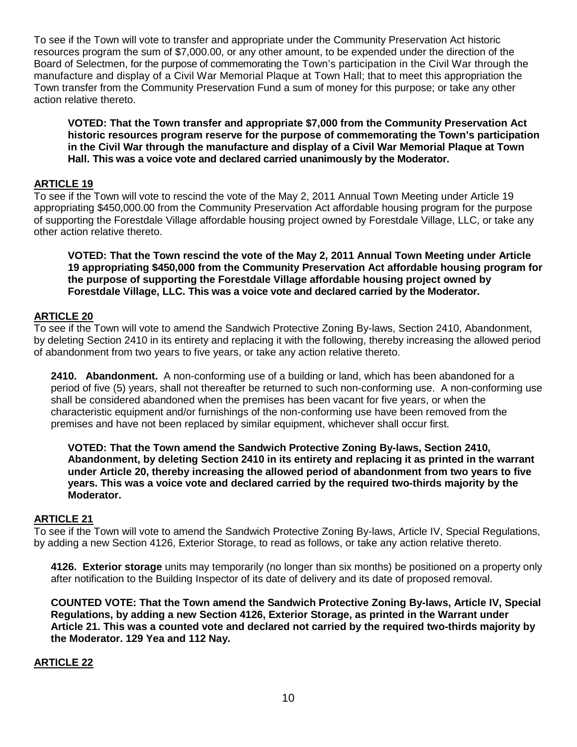To see if the Town will vote to transfer and appropriate under the Community Preservation Act historic resources program the sum of \$7,000.00, or any other amount, to be expended under the direction of the Board of Selectmen, for the purpose of commemorating the Town's participation in the Civil War through the manufacture and display of a Civil War Memorial Plaque at Town Hall; that to meet this appropriation the Town transfer from the Community Preservation Fund a sum of money for this purpose; or take any other action relative thereto.

**VOTED: That the Town transfer and appropriate \$7,000 from the Community Preservation Act historic resources program reserve for the purpose of commemorating the Town's participation in the Civil War through the manufacture and display of a Civil War Memorial Plaque at Town Hall. This was a voice vote and declared carried unanimously by the Moderator.**

## **ARTICLE 19**

To see if the Town will vote to rescind the vote of the May 2, 2011 Annual Town Meeting under Article 19 appropriating \$450,000.00 from the Community Preservation Act affordable housing program for the purpose of supporting the Forestdale Village affordable housing project owned by Forestdale Village, LLC, or take any other action relative thereto.

**VOTED: That the Town rescind the vote of the May 2, 2011 Annual Town Meeting under Article 19 appropriating \$450,000 from the Community Preservation Act affordable housing program for the purpose of supporting the Forestdale Village affordable housing project owned by Forestdale Village, LLC. This was a voice vote and declared carried by the Moderator.**

## **ARTICLE 20**

To see if the Town will vote to amend the Sandwich Protective Zoning By-laws, Section 2410, Abandonment, by deleting Section 2410 in its entirety and replacing it with the following, thereby increasing the allowed period of abandonment from two years to five years, or take any action relative thereto.

**2410. Abandonment.** A non-conforming use of a building or land, which has been abandoned for a period of five (5) years, shall not thereafter be returned to such non-conforming use. A non-conforming use shall be considered abandoned when the premises has been vacant for five years, or when the characteristic equipment and/or furnishings of the non-conforming use have been removed from the premises and have not been replaced by similar equipment, whichever shall occur first.

**VOTED: That the Town amend the Sandwich Protective Zoning By-laws, Section 2410, Abandonment, by deleting Section 2410 in its entirety and replacing it as printed in the warrant under Article 20, thereby increasing the allowed period of abandonment from two years to five years. This was a voice vote and declared carried by the required two-thirds majority by the Moderator.**

#### **ARTICLE 21**

To see if the Town will vote to amend the Sandwich Protective Zoning By-laws, Article IV, Special Regulations, by adding a new Section 4126, Exterior Storage, to read as follows, or take any action relative thereto.

**4126. Exterior storage** units may temporarily (no longer than six months) be positioned on a property only after notification to the Building Inspector of its date of delivery and its date of proposed removal.

**COUNTED VOTE: That the Town amend the Sandwich Protective Zoning By-laws, Article IV, Special Regulations, by adding a new Section 4126, Exterior Storage, as printed in the Warrant under Article 21. This was a counted vote and declared not carried by the required two-thirds majority by the Moderator. 129 Yea and 112 Nay.**

# **ARTICLE 22**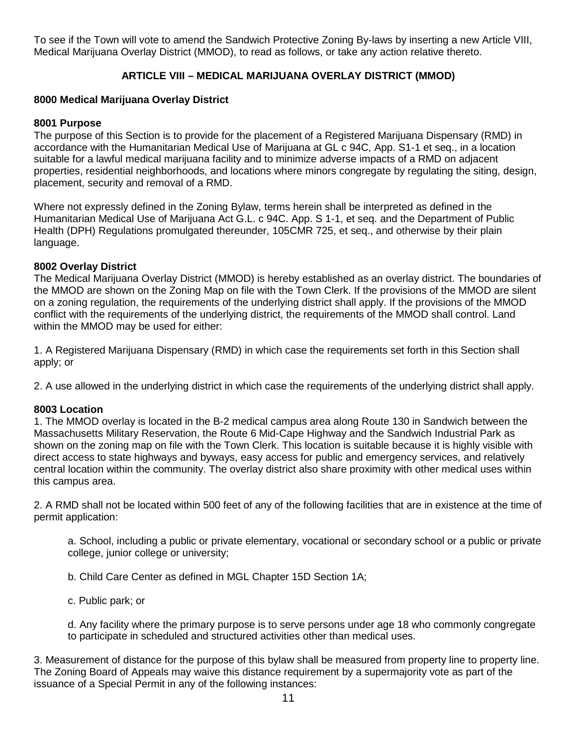To see if the Town will vote to amend the Sandwich Protective Zoning By-laws by inserting a new Article VIII, Medical Marijuana Overlay District (MMOD), to read as follows, or take any action relative thereto.

# **ARTICLE VIII – MEDICAL MARIJUANA OVERLAY DISTRICT (MMOD)**

# **8000 Medical Marijuana Overlay District**

#### **8001 Purpose**

The purpose of this Section is to provide for the placement of a Registered Marijuana Dispensary (RMD) in accordance with the Humanitarian Medical Use of Marijuana at GL c 94C, App. S1-1 et seq., in a location suitable for a lawful medical marijuana facility and to minimize adverse impacts of a RMD on adjacent properties, residential neighborhoods, and locations where minors congregate by regulating the siting, design, placement, security and removal of a RMD.

Where not expressly defined in the Zoning Bylaw, terms herein shall be interpreted as defined in the Humanitarian Medical Use of Marijuana Act G.L. c 94C. App. S 1-1, et seq. and the Department of Public Health (DPH) Regulations promulgated thereunder, 105CMR 725, et seq., and otherwise by their plain language.

## **8002 Overlay District**

The Medical Marijuana Overlay District (MMOD) is hereby established as an overlay district. The boundaries of the MMOD are shown on the Zoning Map on file with the Town Clerk. If the provisions of the MMOD are silent on a zoning regulation, the requirements of the underlying district shall apply. If the provisions of the MMOD conflict with the requirements of the underlying district, the requirements of the MMOD shall control. Land within the MMOD may be used for either:

1. A Registered Marijuana Dispensary (RMD) in which case the requirements set forth in this Section shall apply; or

2. A use allowed in the underlying district in which case the requirements of the underlying district shall apply.

#### **8003 Location**

1. The MMOD overlay is located in the B-2 medical campus area along Route 130 in Sandwich between the Massachusetts Military Reservation, the Route 6 Mid-Cape Highway and the Sandwich Industrial Park as shown on the zoning map on file with the Town Clerk. This location is suitable because it is highly visible with direct access to state highways and byways, easy access for public and emergency services, and relatively central location within the community. The overlay district also share proximity with other medical uses within this campus area.

2. A RMD shall not be located within 500 feet of any of the following facilities that are in existence at the time of permit application:

a. School, including a public or private elementary, vocational or secondary school or a public or private college, junior college or university;

b. Child Care Center as defined in MGL Chapter 15D Section 1A;

c. Public park; or

d. Any facility where the primary purpose is to serve persons under age 18 who commonly congregate to participate in scheduled and structured activities other than medical uses.

3. Measurement of distance for the purpose of this bylaw shall be measured from property line to property line. The Zoning Board of Appeals may waive this distance requirement by a supermajority vote as part of the issuance of a Special Permit in any of the following instances: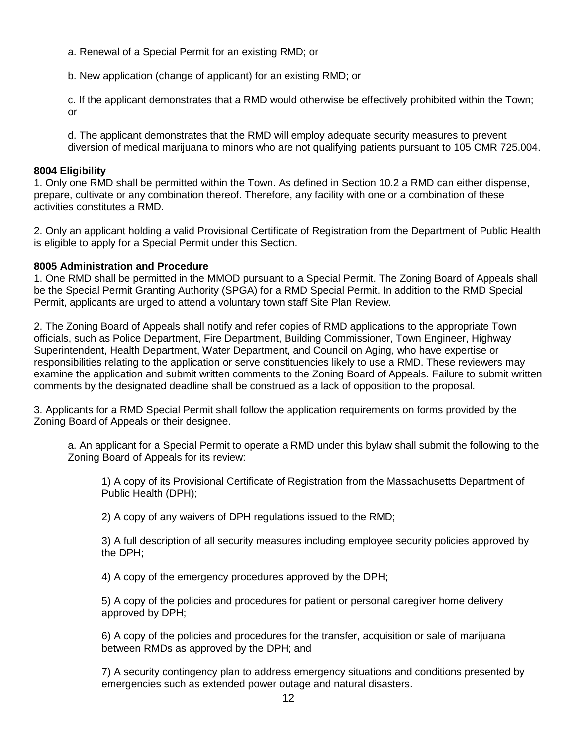a. Renewal of a Special Permit for an existing RMD; or

b. New application (change of applicant) for an existing RMD; or

c. If the applicant demonstrates that a RMD would otherwise be effectively prohibited within the Town; or

d. The applicant demonstrates that the RMD will employ adequate security measures to prevent diversion of medical marijuana to minors who are not qualifying patients pursuant to 105 CMR 725.004.

## **8004 Eligibility**

1. Only one RMD shall be permitted within the Town. As defined in Section 10.2 a RMD can either dispense, prepare, cultivate or any combination thereof. Therefore, any facility with one or a combination of these activities constitutes a RMD.

2. Only an applicant holding a valid Provisional Certificate of Registration from the Department of Public Health is eligible to apply for a Special Permit under this Section.

## **8005 Administration and Procedure**

1. One RMD shall be permitted in the MMOD pursuant to a Special Permit. The Zoning Board of Appeals shall be the Special Permit Granting Authority (SPGA) for a RMD Special Permit. In addition to the RMD Special Permit, applicants are urged to attend a voluntary town staff Site Plan Review.

2. The Zoning Board of Appeals shall notify and refer copies of RMD applications to the appropriate Town officials, such as Police Department, Fire Department, Building Commissioner, Town Engineer, Highway Superintendent, Health Department, Water Department, and Council on Aging, who have expertise or responsibilities relating to the application or serve constituencies likely to use a RMD. These reviewers may examine the application and submit written comments to the Zoning Board of Appeals. Failure to submit written comments by the designated deadline shall be construed as a lack of opposition to the proposal.

3. Applicants for a RMD Special Permit shall follow the application requirements on forms provided by the Zoning Board of Appeals or their designee.

a. An applicant for a Special Permit to operate a RMD under this bylaw shall submit the following to the Zoning Board of Appeals for its review:

1) A copy of its Provisional Certificate of Registration from the Massachusetts Department of Public Health (DPH);

2) A copy of any waivers of DPH regulations issued to the RMD;

3) A full description of all security measures including employee security policies approved by the DPH;

4) A copy of the emergency procedures approved by the DPH;

5) A copy of the policies and procedures for patient or personal caregiver home delivery approved by DPH;

6) A copy of the policies and procedures for the transfer, acquisition or sale of marijuana between RMDs as approved by the DPH; and

7) A security contingency plan to address emergency situations and conditions presented by emergencies such as extended power outage and natural disasters.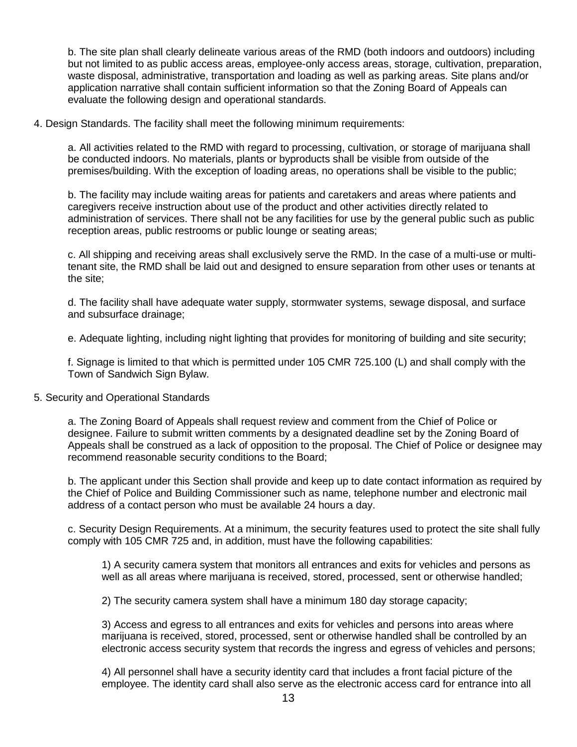b. The site plan shall clearly delineate various areas of the RMD (both indoors and outdoors) including but not limited to as public access areas, employee-only access areas, storage, cultivation, preparation, waste disposal, administrative, transportation and loading as well as parking areas. Site plans and/or application narrative shall contain sufficient information so that the Zoning Board of Appeals can evaluate the following design and operational standards.

4. Design Standards. The facility shall meet the following minimum requirements:

a. All activities related to the RMD with regard to processing, cultivation, or storage of marijuana shall be conducted indoors. No materials, plants or byproducts shall be visible from outside of the premises/building. With the exception of loading areas, no operations shall be visible to the public;

b. The facility may include waiting areas for patients and caretakers and areas where patients and caregivers receive instruction about use of the product and other activities directly related to administration of services. There shall not be any facilities for use by the general public such as public reception areas, public restrooms or public lounge or seating areas;

c. All shipping and receiving areas shall exclusively serve the RMD. In the case of a multi-use or multitenant site, the RMD shall be laid out and designed to ensure separation from other uses or tenants at the site;

d. The facility shall have adequate water supply, stormwater systems, sewage disposal, and surface and subsurface drainage;

e. Adequate lighting, including night lighting that provides for monitoring of building and site security;

f. Signage is limited to that which is permitted under 105 CMR 725.100 (L) and shall comply with the Town of Sandwich Sign Bylaw.

#### 5. Security and Operational Standards

a. The Zoning Board of Appeals shall request review and comment from the Chief of Police or designee. Failure to submit written comments by a designated deadline set by the Zoning Board of Appeals shall be construed as a lack of opposition to the proposal. The Chief of Police or designee may recommend reasonable security conditions to the Board;

b. The applicant under this Section shall provide and keep up to date contact information as required by the Chief of Police and Building Commissioner such as name, telephone number and electronic mail address of a contact person who must be available 24 hours a day.

c. Security Design Requirements. At a minimum, the security features used to protect the site shall fully comply with 105 CMR 725 and, in addition, must have the following capabilities:

1) A security camera system that monitors all entrances and exits for vehicles and persons as well as all areas where marijuana is received, stored, processed, sent or otherwise handled;

2) The security camera system shall have a minimum 180 day storage capacity;

3) Access and egress to all entrances and exits for vehicles and persons into areas where marijuana is received, stored, processed, sent or otherwise handled shall be controlled by an electronic access security system that records the ingress and egress of vehicles and persons;

4) All personnel shall have a security identity card that includes a front facial picture of the employee. The identity card shall also serve as the electronic access card for entrance into all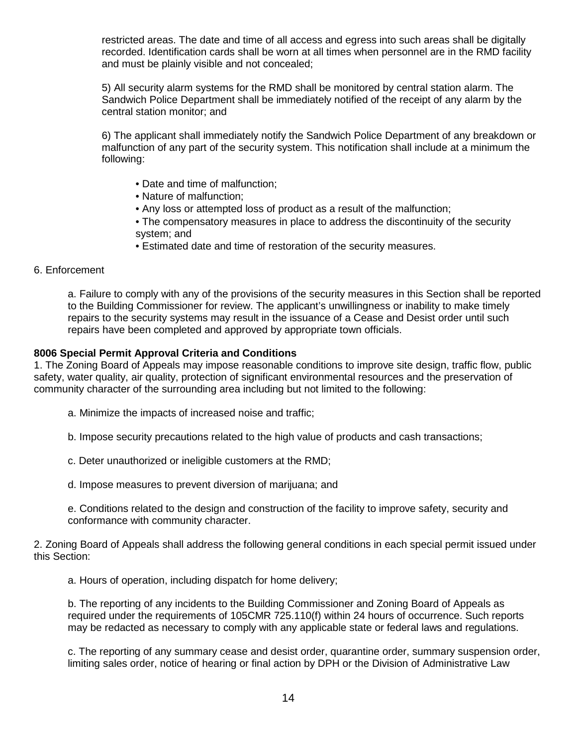restricted areas. The date and time of all access and egress into such areas shall be digitally recorded. Identification cards shall be worn at all times when personnel are in the RMD facility and must be plainly visible and not concealed;

5) All security alarm systems for the RMD shall be monitored by central station alarm. The Sandwich Police Department shall be immediately notified of the receipt of any alarm by the central station monitor; and

6) The applicant shall immediately notify the Sandwich Police Department of any breakdown or malfunction of any part of the security system. This notification shall include at a minimum the following:

- Date and time of malfunction;
- Nature of malfunction;
- Any loss or attempted loss of product as a result of the malfunction;
- The compensatory measures in place to address the discontinuity of the security system; and
- Estimated date and time of restoration of the security measures.

#### 6. Enforcement

a. Failure to comply with any of the provisions of the security measures in this Section shall be reported to the Building Commissioner for review. The applicant's unwillingness or inability to make timely repairs to the security systems may result in the issuance of a Cease and Desist order until such repairs have been completed and approved by appropriate town officials.

#### **8006 Special Permit Approval Criteria and Conditions**

1. The Zoning Board of Appeals may impose reasonable conditions to improve site design, traffic flow, public safety, water quality, air quality, protection of significant environmental resources and the preservation of community character of the surrounding area including but not limited to the following:

- a. Minimize the impacts of increased noise and traffic;
- b. Impose security precautions related to the high value of products and cash transactions;
- c. Deter unauthorized or ineligible customers at the RMD;
- d. Impose measures to prevent diversion of marijuana; and

e. Conditions related to the design and construction of the facility to improve safety, security and conformance with community character.

2. Zoning Board of Appeals shall address the following general conditions in each special permit issued under this Section:

a. Hours of operation, including dispatch for home delivery;

b. The reporting of any incidents to the Building Commissioner and Zoning Board of Appeals as required under the requirements of 105CMR 725.110(f) within 24 hours of occurrence. Such reports may be redacted as necessary to comply with any applicable state or federal laws and regulations.

c. The reporting of any summary cease and desist order, quarantine order, summary suspension order, limiting sales order, notice of hearing or final action by DPH or the Division of Administrative Law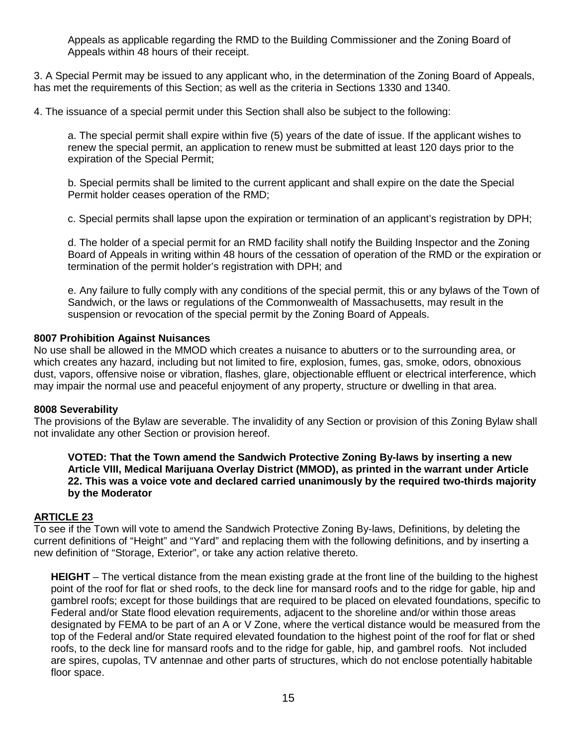Appeals as applicable regarding the RMD to the Building Commissioner and the Zoning Board of Appeals within 48 hours of their receipt.

3. A Special Permit may be issued to any applicant who, in the determination of the Zoning Board of Appeals, has met the requirements of this Section; as well as the criteria in Sections 1330 and 1340.

4. The issuance of a special permit under this Section shall also be subject to the following:

a. The special permit shall expire within five (5) years of the date of issue. If the applicant wishes to renew the special permit, an application to renew must be submitted at least 120 days prior to the expiration of the Special Permit;

b. Special permits shall be limited to the current applicant and shall expire on the date the Special Permit holder ceases operation of the RMD;

c. Special permits shall lapse upon the expiration or termination of an applicant's registration by DPH;

d. The holder of a special permit for an RMD facility shall notify the Building Inspector and the Zoning Board of Appeals in writing within 48 hours of the cessation of operation of the RMD or the expiration or termination of the permit holder's registration with DPH; and

e. Any failure to fully comply with any conditions of the special permit, this or any bylaws of the Town of Sandwich, or the laws or regulations of the Commonwealth of Massachusetts, may result in the suspension or revocation of the special permit by the Zoning Board of Appeals.

# **8007 Prohibition Against Nuisances**

No use shall be allowed in the MMOD which creates a nuisance to abutters or to the surrounding area, or which creates any hazard, including but not limited to fire, explosion, fumes, gas, smoke, odors, obnoxious dust, vapors, offensive noise or vibration, flashes, glare, objectionable effluent or electrical interference, which may impair the normal use and peaceful enjoyment of any property, structure or dwelling in that area.

#### **8008 Severability**

The provisions of the Bylaw are severable. The invalidity of any Section or provision of this Zoning Bylaw shall not invalidate any other Section or provision hereof.

**VOTED: That the Town amend the Sandwich Protective Zoning By-laws by inserting a new Article VIII, Medical Marijuana Overlay District (MMOD), as printed in the warrant under Article 22. This was a voice vote and declared carried unanimously by the required two-thirds majority by the Moderator**

# **ARTICLE 23**

To see if the Town will vote to amend the Sandwich Protective Zoning By-laws, Definitions, by deleting the current definitions of "Height" and "Yard" and replacing them with the following definitions, and by inserting a new definition of "Storage, Exterior", or take any action relative thereto.

**HEIGHT** – The vertical distance from the mean existing grade at the front line of the building to the highest point of the roof for flat or shed roofs, to the deck line for mansard roofs and to the ridge for gable, hip and gambrel roofs; except for those buildings that are required to be placed on elevated foundations, specific to Federal and/or State flood elevation requirements, adjacent to the shoreline and/or within those areas designated by FEMA to be part of an A or V Zone, where the vertical distance would be measured from the top of the Federal and/or State required elevated foundation to the highest point of the roof for flat or shed roofs, to the deck line for mansard roofs and to the ridge for gable, hip, and gambrel roofs. Not included are spires, cupolas, TV antennae and other parts of structures, which do not enclose potentially habitable floor space.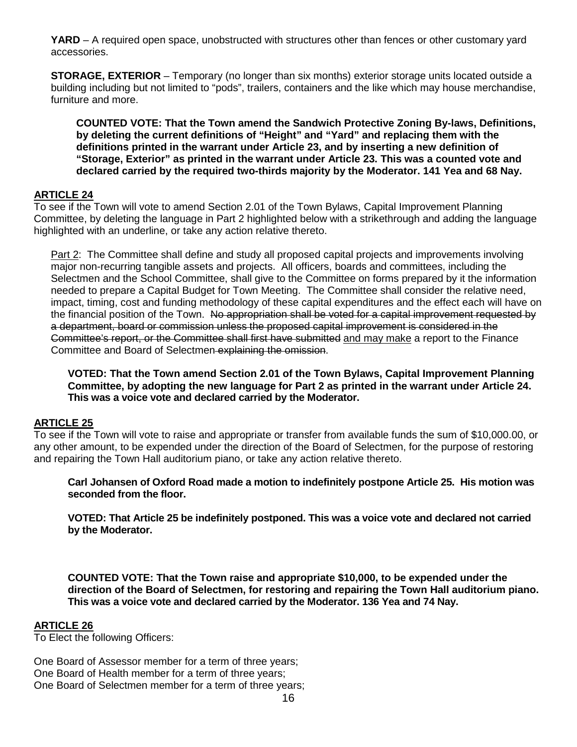**YARD** – A required open space, unobstructed with structures other than fences or other customary yard accessories.

**STORAGE, EXTERIOR** – Temporary (no longer than six months) exterior storage units located outside a building including but not limited to "pods", trailers, containers and the like which may house merchandise, furniture and more.

**COUNTED VOTE: That the Town amend the Sandwich Protective Zoning By-laws, Definitions, by deleting the current definitions of "Height" and "Yard" and replacing them with the definitions printed in the warrant under Article 23, and by inserting a new definition of "Storage, Exterior" as printed in the warrant under Article 23. This was a counted vote and declared carried by the required two-thirds majority by the Moderator. 141 Yea and 68 Nay.**

# **ARTICLE 24**

To see if the Town will vote to amend Section 2.01 of the Town Bylaws, Capital Improvement Planning Committee, by deleting the language in Part 2 highlighted below with a strikethrough and adding the language highlighted with an underline, or take any action relative thereto.

Part 2: The Committee shall define and study all proposed capital projects and improvements involving major non-recurring tangible assets and projects. All officers, boards and committees, including the Selectmen and the School Committee, shall give to the Committee on forms prepared by it the information needed to prepare a Capital Budget for Town Meeting. The Committee shall consider the relative need, impact, timing, cost and funding methodology of these capital expenditures and the effect each will have on the financial position of the Town. No appropriation shall be voted for a capital improvement requested by a department, board or commission unless the proposed capital improvement is considered in the Committee's report, or the Committee shall first have submitted and may make a report to the Finance Committee and Board of Selectmen explaining the omission.

**VOTED: That the Town amend Section 2.01 of the Town Bylaws, Capital Improvement Planning Committee, by adopting the new language for Part 2 as printed in the warrant under Article 24. This was a voice vote and declared carried by the Moderator.**

# **ARTICLE 25**

To see if the Town will vote to raise and appropriate or transfer from available funds the sum of \$10,000.00, or any other amount, to be expended under the direction of the Board of Selectmen, for the purpose of restoring and repairing the Town Hall auditorium piano, or take any action relative thereto.

**Carl Johansen of Oxford Road made a motion to indefinitely postpone Article 25. His motion was seconded from the floor.** 

**VOTED: That Article 25 be indefinitely postponed. This was a voice vote and declared not carried by the Moderator.**

**COUNTED VOTE: That the Town raise and appropriate \$10,000, to be expended under the direction of the Board of Selectmen, for restoring and repairing the Town Hall auditorium piano. This was a voice vote and declared carried by the Moderator. 136 Yea and 74 Nay.**

## **ARTICLE 26**

To Elect the following Officers:

One Board of Assessor member for a term of three years; One Board of Health member for a term of three years; One Board of Selectmen member for a term of three years;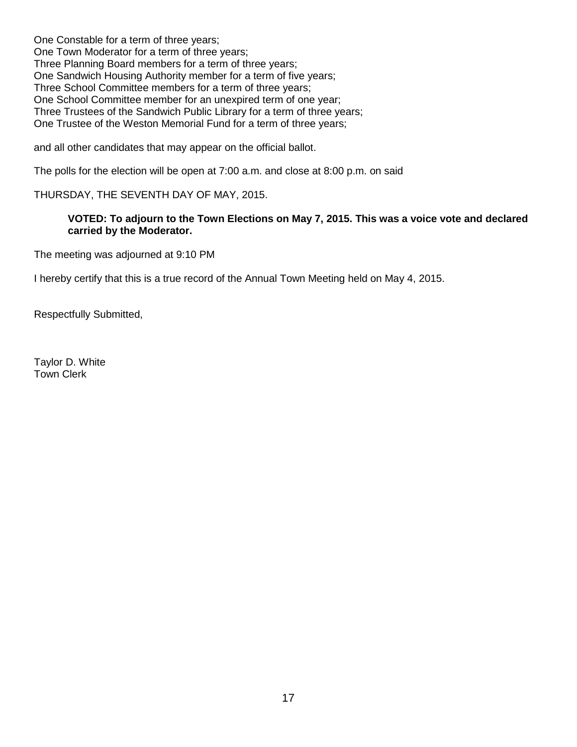One Constable for a term of three years; One Town Moderator for a term of three years; Three Planning Board members for a term of three years; One Sandwich Housing Authority member for a term of five years; Three School Committee members for a term of three years; One School Committee member for an unexpired term of one year; Three Trustees of the Sandwich Public Library for a term of three years; One Trustee of the Weston Memorial Fund for a term of three years;

and all other candidates that may appear on the official ballot.

The polls for the election will be open at 7:00 a.m. and close at 8:00 p.m. on said

# THURSDAY, THE SEVENTH DAY OF MAY, 2015.

## **VOTED: To adjourn to the Town Elections on May 7, 2015. This was a voice vote and declared carried by the Moderator.**

The meeting was adjourned at 9:10 PM

I hereby certify that this is a true record of the Annual Town Meeting held on May 4, 2015.

Respectfully Submitted,

Taylor D. White Town Clerk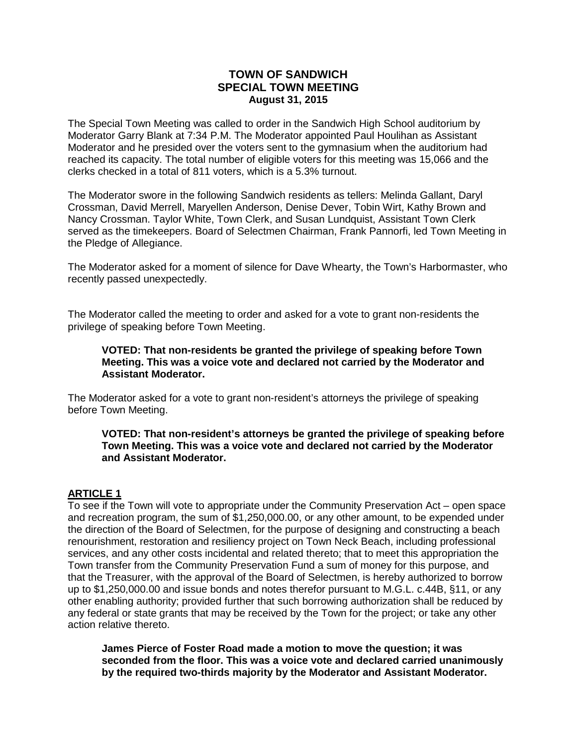# **TOWN OF SANDWICH SPECIAL TOWN MEETING August 31, 2015**

The Special Town Meeting was called to order in the Sandwich High School auditorium by Moderator Garry Blank at 7:34 P.M. The Moderator appointed Paul Houlihan as Assistant Moderator and he presided over the voters sent to the gymnasium when the auditorium had reached its capacity. The total number of eligible voters for this meeting was 15,066 and the clerks checked in a total of 811 voters, which is a 5.3% turnout.

The Moderator swore in the following Sandwich residents as tellers: Melinda Gallant, Daryl Crossman, David Merrell, Maryellen Anderson, Denise Dever, Tobin Wirt, Kathy Brown and Nancy Crossman. Taylor White, Town Clerk, and Susan Lundquist, Assistant Town Clerk served as the timekeepers. Board of Selectmen Chairman, Frank Pannorfi, led Town Meeting in the Pledge of Allegiance.

The Moderator asked for a moment of silence for Dave Whearty, the Town's Harbormaster, who recently passed unexpectedly.

The Moderator called the meeting to order and asked for a vote to grant non-residents the privilege of speaking before Town Meeting.

**VOTED: That non-residents be granted the privilege of speaking before Town Meeting. This was a voice vote and declared not carried by the Moderator and Assistant Moderator.**

The Moderator asked for a vote to grant non-resident's attorneys the privilege of speaking before Town Meeting.

**VOTED: That non-resident's attorneys be granted the privilege of speaking before Town Meeting. This was a voice vote and declared not carried by the Moderator and Assistant Moderator.**

# **ARTICLE 1**

To see if the Town will vote to appropriate under the Community Preservation Act – open space and recreation program, the sum of \$1,250,000.00, or any other amount, to be expended under the direction of the Board of Selectmen, for the purpose of designing and constructing a beach renourishment, restoration and resiliency project on Town Neck Beach, including professional services, and any other costs incidental and related thereto; that to meet this appropriation the Town transfer from the Community Preservation Fund a sum of money for this purpose, and that the Treasurer, with the approval of the Board of Selectmen, is hereby authorized to borrow up to \$1,250,000.00 and issue bonds and notes therefor pursuant to M.G.L. c.44B, §11, or any other enabling authority; provided further that such borrowing authorization shall be reduced by any federal or state grants that may be received by the Town for the project; or take any other action relative thereto.

**James Pierce of Foster Road made a motion to move the question; it was seconded from the floor. This was a voice vote and declared carried unanimously by the required two-thirds majority by the Moderator and Assistant Moderator.**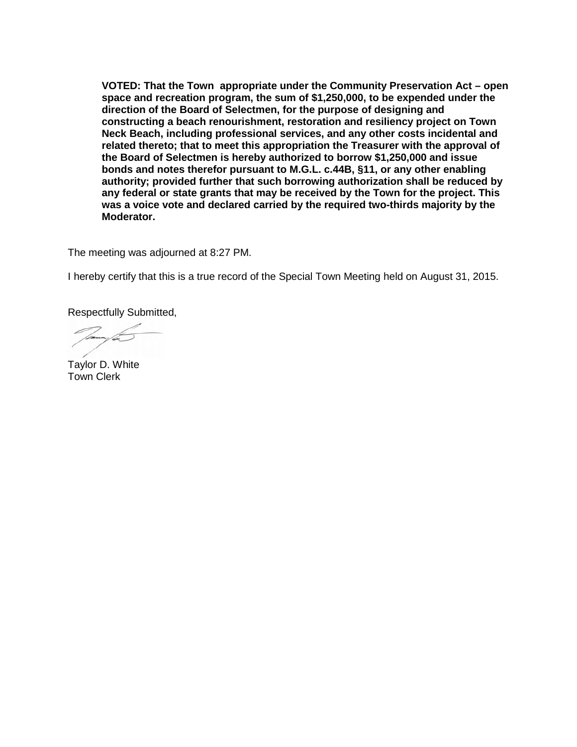**VOTED: That the Town appropriate under the Community Preservation Act – open space and recreation program, the sum of \$1,250,000, to be expended under the direction of the Board of Selectmen, for the purpose of designing and constructing a beach renourishment, restoration and resiliency project on Town Neck Beach, including professional services, and any other costs incidental and related thereto; that to meet this appropriation the Treasurer with the approval of the Board of Selectmen is hereby authorized to borrow \$1,250,000 and issue bonds and notes therefor pursuant to M.G.L. c.44B, §11, or any other enabling authority; provided further that such borrowing authorization shall be reduced by any federal or state grants that may be received by the Town for the project. This was a voice vote and declared carried by the required two-thirds majority by the Moderator.**

The meeting was adjourned at 8:27 PM.

I hereby certify that this is a true record of the Special Town Meeting held on August 31, 2015.

Respectfully Submitted,

Taylor D. White Town Clerk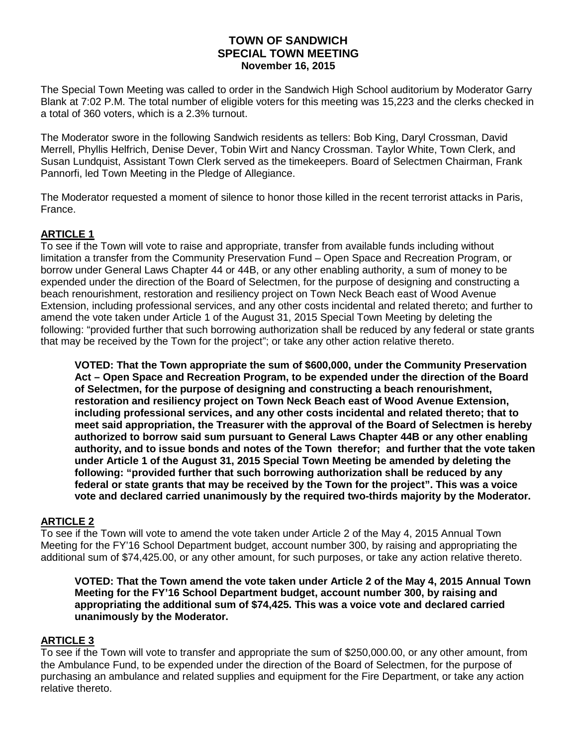# **TOWN OF SANDWICH SPECIAL TOWN MEETING November 16, 2015**

The Special Town Meeting was called to order in the Sandwich High School auditorium by Moderator Garry Blank at 7:02 P.M. The total number of eligible voters for this meeting was 15,223 and the clerks checked in a total of 360 voters, which is a 2.3% turnout.

The Moderator swore in the following Sandwich residents as tellers: Bob King, Daryl Crossman, David Merrell, Phyllis Helfrich, Denise Dever, Tobin Wirt and Nancy Crossman. Taylor White, Town Clerk, and Susan Lundquist, Assistant Town Clerk served as the timekeepers. Board of Selectmen Chairman, Frank Pannorfi, led Town Meeting in the Pledge of Allegiance.

The Moderator requested a moment of silence to honor those killed in the recent terrorist attacks in Paris, France.

# **ARTICLE 1**

To see if the Town will vote to raise and appropriate, transfer from available funds including without limitation a transfer from the Community Preservation Fund – Open Space and Recreation Program, or borrow under General Laws Chapter 44 or 44B, or any other enabling authority, a sum of money to be expended under the direction of the Board of Selectmen, for the purpose of designing and constructing a beach renourishment, restoration and resiliency project on Town Neck Beach east of Wood Avenue Extension, including professional services, and any other costs incidental and related thereto; and further to amend the vote taken under Article 1 of the August 31, 2015 Special Town Meeting by deleting the following: "provided further that such borrowing authorization shall be reduced by any federal or state grants that may be received by the Town for the project"; or take any other action relative thereto.

**VOTED: That the Town appropriate the sum of \$600,000, under the Community Preservation Act – Open Space and Recreation Program, to be expended under the direction of the Board of Selectmen, for the purpose of designing and constructing a beach renourishment, restoration and resiliency project on Town Neck Beach east of Wood Avenue Extension, including professional services, and any other costs incidental and related thereto; that to meet said appropriation, the Treasurer with the approval of the Board of Selectmen is hereby authorized to borrow said sum pursuant to General Laws Chapter 44B or any other enabling authority, and to issue bonds and notes of the Town therefor; and further that the vote taken under Article 1 of the August 31, 2015 Special Town Meeting be amended by deleting the following: "provided further that such borrowing authorization shall be reduced by any federal or state grants that may be received by the Town for the project". This was a voice vote and declared carried unanimously by the required two-thirds majority by the Moderator.**

# **ARTICLE 2**

To see if the Town will vote to amend the vote taken under Article 2 of the May 4, 2015 Annual Town Meeting for the FY'16 School Department budget, account number 300, by raising and appropriating the additional sum of \$74,425.00, or any other amount, for such purposes, or take any action relative thereto.

**VOTED: That the Town amend the vote taken under Article 2 of the May 4, 2015 Annual Town Meeting for the FY'16 School Department budget, account number 300, by raising and appropriating the additional sum of \$74,425. This was a voice vote and declared carried unanimously by the Moderator.**

# **ARTICLE 3**

To see if the Town will vote to transfer and appropriate the sum of \$250,000.00, or any other amount, from the Ambulance Fund, to be expended under the direction of the Board of Selectmen, for the purpose of purchasing an ambulance and related supplies and equipment for the Fire Department, or take any action relative thereto.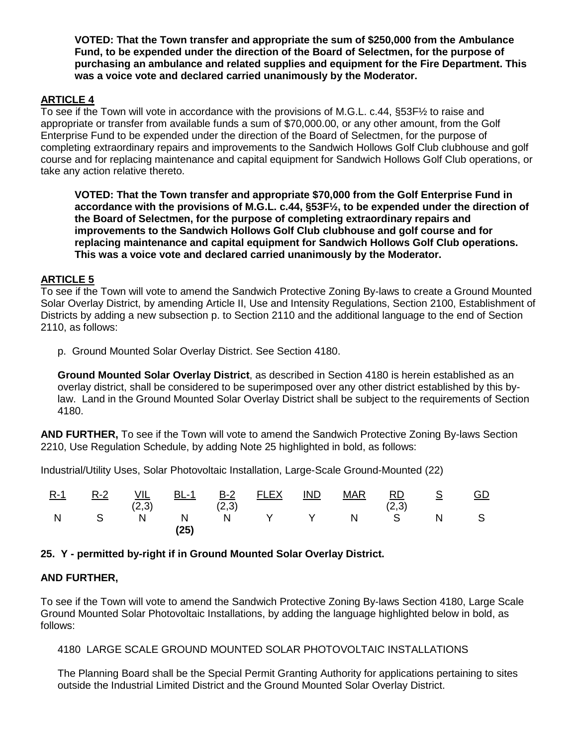**VOTED: That the Town transfer and appropriate the sum of \$250,000 from the Ambulance Fund, to be expended under the direction of the Board of Selectmen, for the purpose of purchasing an ambulance and related supplies and equipment for the Fire Department. This was a voice vote and declared carried unanimously by the Moderator.**

# **ARTICLE 4**

To see if the Town will vote in accordance with the provisions of M.G.L. c.44, §53F½ to raise and appropriate or transfer from available funds a sum of \$70,000.00, or any other amount, from the Golf Enterprise Fund to be expended under the direction of the Board of Selectmen, for the purpose of completing extraordinary repairs and improvements to the Sandwich Hollows Golf Club clubhouse and golf course and for replacing maintenance and capital equipment for Sandwich Hollows Golf Club operations, or take any action relative thereto.

**VOTED: That the Town transfer and appropriate \$70,000 from the Golf Enterprise Fund in accordance with the provisions of M.G.L. c.44, §53F½, to be expended under the direction of the Board of Selectmen, for the purpose of completing extraordinary repairs and improvements to the Sandwich Hollows Golf Club clubhouse and golf course and for replacing maintenance and capital equipment for Sandwich Hollows Golf Club operations. This was a voice vote and declared carried unanimously by the Moderator.**

# **ARTICLE 5**

To see if the Town will vote to amend the Sandwich Protective Zoning By-laws to create a Ground Mounted Solar Overlay District, by amending Article II, Use and Intensity Regulations, Section 2100, Establishment of Districts by adding a new subsection p. to Section 2110 and the additional language to the end of Section 2110, as follows:

p. Ground Mounted Solar Overlay District. See Section 4180.

**Ground Mounted Solar Overlay District**, as described in Section 4180 is herein established as an overlay district, shall be considered to be superimposed over any other district established by this bylaw. Land in the Ground Mounted Solar Overlay District shall be subject to the requirements of Section 4180.

**AND FURTHER,** To see if the Town will vote to amend the Sandwich Protective Zoning By-laws Section 2210, Use Regulation Schedule, by adding Note 25 highlighted in bold, as follows:

Industrial/Utility Uses, Solar Photovoltaic Installation, Large-Scale Ground-Mounted (22)

| $R-1$ | $R-2$ | VIL<br>(2,3) | <u>BL-1</u><br>(2,3) | <u>B-2</u> | <b>FLEX</b>  | <b>IND</b> | <b>MAR</b> | $\underline{\mathsf{RD}}$<br>(2,3) | <b>S</b> | <u>GD</u> |
|-------|-------|--------------|----------------------|------------|--------------|------------|------------|------------------------------------|----------|-----------|
| N     | S S   | N            | N<br>(25)            | N          | $\mathsf{Y}$ |            | Y N        | S                                  |          |           |

# **25. Y - permitted by-right if in Ground Mounted Solar Overlay District.**

# **AND FURTHER,**

To see if the Town will vote to amend the Sandwich Protective Zoning By-laws Section 4180, Large Scale Ground Mounted Solar Photovoltaic Installations, by adding the language highlighted below in bold, as follows:

```
4180 LARGE SCALE GROUND MOUNTED SOLAR PHOTOVOLTAIC INSTALLATIONS
```
The Planning Board shall be the Special Permit Granting Authority for applications pertaining to sites outside the Industrial Limited District and the Ground Mounted Solar Overlay District.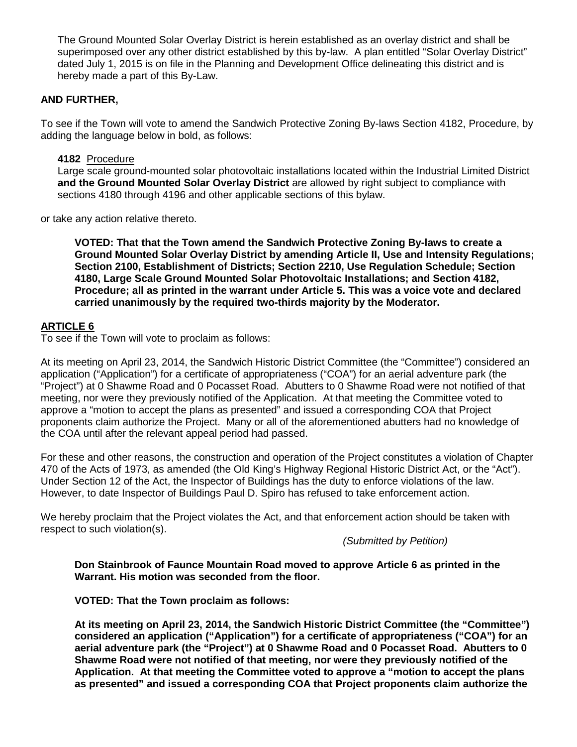The Ground Mounted Solar Overlay District is herein established as an overlay district and shall be superimposed over any other district established by this by-law. A plan entitled "Solar Overlay District" dated July 1, 2015 is on file in the Planning and Development Office delineating this district and is hereby made a part of this By-Law.

# **AND FURTHER,**

To see if the Town will vote to amend the Sandwich Protective Zoning By-laws Section 4182, Procedure, by adding the language below in bold, as follows:

**4182** Procedure

Large scale ground-mounted solar photovoltaic installations located within the Industrial Limited District **and the Ground Mounted Solar Overlay District** are allowed by right subject to compliance with sections 4180 through 4196 and other applicable sections of this bylaw.

or take any action relative thereto.

**VOTED: That that the Town amend the Sandwich Protective Zoning By-laws to create a Ground Mounted Solar Overlay District by amending Article II, Use and Intensity Regulations; Section 2100, Establishment of Districts; Section 2210, Use Regulation Schedule; Section 4180, Large Scale Ground Mounted Solar Photovoltaic Installations; and Section 4182, Procedure; all as printed in the warrant under Article 5. This was a voice vote and declared carried unanimously by the required two-thirds majority by the Moderator.**

# **ARTICLE 6**

To see if the Town will vote to proclaim as follows:

At its meeting on April 23, 2014, the Sandwich Historic District Committee (the "Committee") considered an application ("Application") for a certificate of appropriateness ("COA") for an aerial adventure park (the "Project") at 0 Shawme Road and 0 Pocasset Road. Abutters to 0 Shawme Road were not notified of that meeting, nor were they previously notified of the Application. At that meeting the Committee voted to approve a "motion to accept the plans as presented" and issued a corresponding COA that Project proponents claim authorize the Project. Many or all of the aforementioned abutters had no knowledge of the COA until after the relevant appeal period had passed.

For these and other reasons, the construction and operation of the Project constitutes a violation of Chapter 470 of the Acts of 1973, as amended (the Old King's Highway Regional Historic District Act, or the "Act"). Under Section 12 of the Act, the Inspector of Buildings has the duty to enforce violations of the law. However, to date Inspector of Buildings Paul D. Spiro has refused to take enforcement action.

We hereby proclaim that the Project violates the Act, and that enforcement action should be taken with respect to such violation(s).

*(Submitted by Petition)*

**Don Stainbrook of Faunce Mountain Road moved to approve Article 6 as printed in the Warrant. His motion was seconded from the floor.** 

**VOTED: That the Town proclaim as follows:**

**At its meeting on April 23, 2014, the Sandwich Historic District Committee (the "Committee") considered an application ("Application") for a certificate of appropriateness ("COA") for an aerial adventure park (the "Project") at 0 Shawme Road and 0 Pocasset Road. Abutters to 0 Shawme Road were not notified of that meeting, nor were they previously notified of the Application. At that meeting the Committee voted to approve a "motion to accept the plans as presented" and issued a corresponding COA that Project proponents claim authorize the**